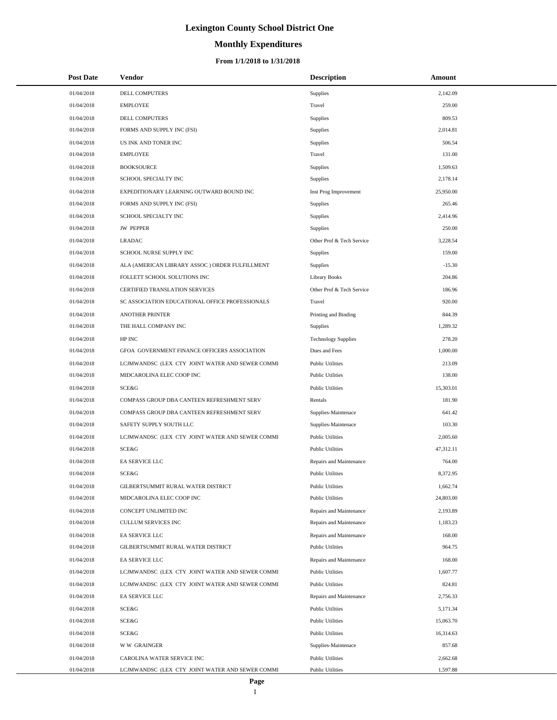# **Monthly Expenditures**

| <b>Post Date</b> | <b>Vendor</b>                                   | <b>Description</b>         | Amount    |
|------------------|-------------------------------------------------|----------------------------|-----------|
| 01/04/2018       | DELL COMPUTERS                                  | Supplies                   | 2,142.09  |
| 01/04/2018       | <b>EMPLOYEE</b>                                 | Travel                     | 259.00    |
| 01/04/2018       | DELL COMPUTERS                                  | Supplies                   | 809.53    |
| 01/04/2018       | FORMS AND SUPPLY INC (FSI)                      | Supplies                   | 2,014.81  |
| 01/04/2018       | US INK AND TONER INC                            | <b>Supplies</b>            | 506.54    |
| 01/04/2018       | <b>EMPLOYEE</b>                                 | Travel                     | 131.00    |
| 01/04/2018       | <b>BOOKSOURCE</b>                               | Supplies                   | 1,509.63  |
| 01/04/2018       | SCHOOL SPECIALTY INC                            | <b>Supplies</b>            | 2.178.14  |
| 01/04/2018       | EXPEDITIONARY LEARNING OUTWARD BOUND INC        | Inst Prog Improvement      | 25,950.00 |
| 01/04/2018       | FORMS AND SUPPLY INC (FSI)                      | <b>Supplies</b>            | 265.46    |
| 01/04/2018       | SCHOOL SPECIALTY INC                            | Supplies                   | 2,414.96  |
| 01/04/2018       | <b>JW PEPPER</b>                                | Supplies                   | 250.00    |
| 01/04/2018       | <b>LRADAC</b>                                   | Other Prof & Tech Service  | 3,228.54  |
| 01/04/2018       | SCHOOL NURSE SUPPLY INC                         | Supplies                   | 159.00    |
| 01/04/2018       | ALA (AMERICAN LIBRARY ASSOC) ORDER FULFILLMENT  | <b>Supplies</b>            | $-15.30$  |
| 01/04/2018       | FOLLETT SCHOOL SOLUTIONS INC                    | <b>Library Books</b>       | 204.86    |
| 01/04/2018       | CERTIFIED TRANSLATION SERVICES                  | Other Prof & Tech Service  | 186.96    |
| 01/04/2018       | SC ASSOCIATION EDUCATIONAL OFFICE PROFESSIONALS | Travel                     | 920.00    |
| 01/04/2018       | <b>ANOTHER PRINTER</b>                          | Printing and Binding       | 844.39    |
| 01/04/2018       | THE HALL COMPANY INC                            | <b>Supplies</b>            | 1,289.32  |
| 01/04/2018       | HP INC                                          | <b>Technology Supplies</b> | 278.20    |
| 01/04/2018       | GFOA GOVERNMENT FINANCE OFFICERS ASSOCIATION    | Dues and Fees              | 1,000.00  |
| 01/04/2018       | LCJMWANDSC (LEX CTY JOINT WATER AND SEWER COMMI | <b>Public Utilities</b>    | 213.09    |
| 01/04/2018       | MIDCAROLINA ELEC COOP INC                       | <b>Public Utilities</b>    | 138.00    |
| 01/04/2018       | SCE&G                                           | <b>Public Utilities</b>    | 15,303.01 |
| 01/04/2018       | COMPASS GROUP DBA CANTEEN REFRESHMENT SERV      | Rentals                    | 181.90    |
| 01/04/2018       | COMPASS GROUP DBA CANTEEN REFRESHMENT SERV      | Supplies-Maintenace        | 641.42    |
| 01/04/2018       | SAFETY SUPPLY SOUTH LLC                         | Supplies-Maintenace        | 103.30    |
| 01/04/2018       | LCJMWANDSC (LEX CTY JOINT WATER AND SEWER COMMI | <b>Public Utilities</b>    | 2,005.60  |
| 01/04/2018       | SCE&G                                           | <b>Public Utilities</b>    | 47,312.11 |
| 01/04/2018       | EA SERVICE LLC                                  | Repairs and Maintenance    | 764.00    |
| 01/04/2018       | SCE&G                                           | <b>Public Utilities</b>    | 8,372.95  |
| 01/04/2018       | GILBERTSUMMIT RURAL WATER DISTRICT              | <b>Public Utilities</b>    | 1,662.74  |
| 01/04/2018       | MIDCAROLINA ELEC COOP INC                       | <b>Public Utilities</b>    | 24,803.00 |
| 01/04/2018       | CONCEPT UNLIMITED INC                           | Repairs and Maintenance    | 2,193.89  |
| 01/04/2018       | CULLUM SERVICES INC                             | Repairs and Maintenance    | 1,183.23  |
| 01/04/2018       | EA SERVICE LLC                                  | Repairs and Maintenance    | 168.00    |
| 01/04/2018       | GILBERTSUMMIT RURAL WATER DISTRICT              | <b>Public Utilities</b>    | 964.75    |
| 01/04/2018       | EA SERVICE LLC                                  | Repairs and Maintenance    | 168.00    |
| 01/04/2018       | LCJMWANDSC (LEX CTY JOINT WATER AND SEWER COMMI | <b>Public Utilities</b>    | 1,607.77  |
| 01/04/2018       | LCJMWANDSC (LEX CTY JOINT WATER AND SEWER COMMI | <b>Public Utilities</b>    | 824.81    |
| 01/04/2018       | EA SERVICE LLC                                  | Repairs and Maintenance    | 2,756.33  |
| 01/04/2018       | SCE&G                                           | <b>Public Utilities</b>    | 5,171.34  |
| 01/04/2018       | SCE&G                                           | <b>Public Utilities</b>    | 15,063.70 |
| 01/04/2018       | SCE&G                                           | <b>Public Utilities</b>    | 16,314.63 |
| 01/04/2018       | <b>WW GRAINGER</b>                              | Supplies-Maintenace        | 857.68    |
| 01/04/2018       | CAROLINA WATER SERVICE INC                      | <b>Public Utilities</b>    | 2,662.68  |
| 01/04/2018       | LCJMWANDSC (LEX CTY JOINT WATER AND SEWER COMMI | <b>Public Utilities</b>    | 1,597.88  |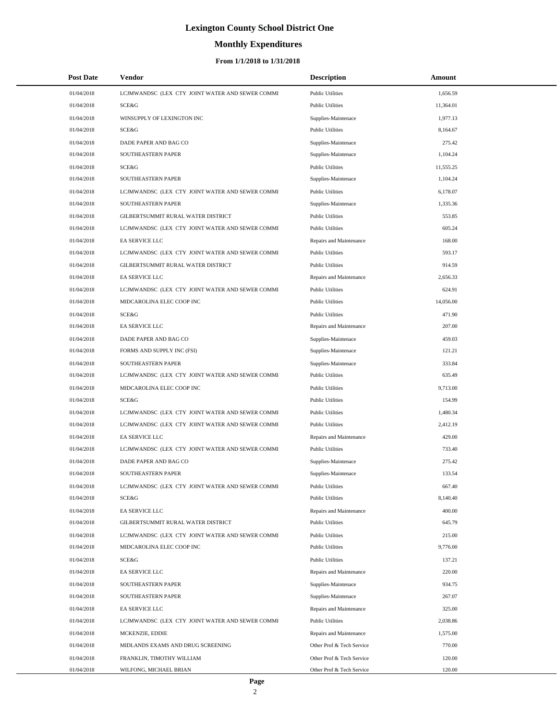# **Monthly Expenditures**

| <b>Post Date</b> | Vendor                                          | <b>Description</b>        | Amount    |
|------------------|-------------------------------------------------|---------------------------|-----------|
| 01/04/2018       | LCJMWANDSC (LEX CTY JOINT WATER AND SEWER COMMI | <b>Public Utilities</b>   | 1,656.59  |
| 01/04/2018       | SCE&G                                           | <b>Public Utilities</b>   | 11,364.01 |
| 01/04/2018       | WINSUPPLY OF LEXINGTON INC                      | Supplies-Maintenace       | 1.977.13  |
| 01/04/2018       | SCE&G                                           | <b>Public Utilities</b>   | 8,164.67  |
| 01/04/2018       | DADE PAPER AND BAG CO                           | Supplies-Maintenace       | 275.42    |
| 01/04/2018       | SOUTHEASTERN PAPER                              | Supplies-Maintenace       | 1,104.24  |
| 01/04/2018       | SCE&G                                           | <b>Public Utilities</b>   | 11,555.25 |
| 01/04/2018       | SOUTHEASTERN PAPER                              | Supplies-Maintenace       | 1,104.24  |
| 01/04/2018       | LCJMWANDSC (LEX CTY JOINT WATER AND SEWER COMMI | <b>Public Utilities</b>   | 6,178.07  |
| 01/04/2018       | SOUTHEASTERN PAPER                              | Supplies-Maintenace       | 1,335.36  |
| 01/04/2018       | GILBERTSUMMIT RURAL WATER DISTRICT              | <b>Public Utilities</b>   | 553.85    |
| 01/04/2018       | LCJMWANDSC (LEX CTY JOINT WATER AND SEWER COMMI | <b>Public Utilities</b>   | 605.24    |
| 01/04/2018       | EA SERVICE LLC                                  | Repairs and Maintenance   | 168.00    |
| 01/04/2018       | LCJMWANDSC (LEX CTY JOINT WATER AND SEWER COMMI | <b>Public Utilities</b>   | 593.17    |
| 01/04/2018       | GILBERTSUMMIT RURAL WATER DISTRICT              | <b>Public Utilities</b>   | 914.59    |
| 01/04/2018       | EA SERVICE LLC                                  | Repairs and Maintenance   | 2,656.33  |
| 01/04/2018       | LCJMWANDSC (LEX CTY JOINT WATER AND SEWER COMMI | <b>Public Utilities</b>   | 624.91    |
| 01/04/2018       | MIDCAROLINA ELEC COOP INC                       | <b>Public Utilities</b>   | 14,056.00 |
| 01/04/2018       | SCE&G                                           | <b>Public Utilities</b>   | 471.90    |
| 01/04/2018       | <b>EA SERVICE LLC</b>                           | Repairs and Maintenance   | 207.00    |
| 01/04/2018       | DADE PAPER AND BAG CO                           | Supplies-Maintenace       | 459.03    |
| 01/04/2018       | FORMS AND SUPPLY INC (FSI)                      | Supplies-Maintenace       | 121.21    |
| 01/04/2018       | SOUTHEASTERN PAPER                              | Supplies-Maintenace       | 333.84    |
| 01/04/2018       | LCJMWANDSC (LEX CTY JOINT WATER AND SEWER COMMI | <b>Public Utilities</b>   | 635.49    |
| 01/04/2018       | MIDCAROLINA ELEC COOP INC                       | <b>Public Utilities</b>   | 9,713.00  |
| 01/04/2018       | SCE&G                                           | <b>Public Utilities</b>   | 154.99    |
| 01/04/2018       | LCJMWANDSC (LEX CTY JOINT WATER AND SEWER COMMI | <b>Public Utilities</b>   | 1,480.34  |
| 01/04/2018       | LCJMWANDSC (LEX CTY JOINT WATER AND SEWER COMMI | <b>Public Utilities</b>   | 2,412.19  |
| 01/04/2018       | EA SERVICE LLC                                  | Repairs and Maintenance   | 429.00    |
| 01/04/2018       | LCJMWANDSC (LEX CTY JOINT WATER AND SEWER COMMI | <b>Public Utilities</b>   | 733.40    |
| 01/04/2018       | DADE PAPER AND BAG CO                           | Supplies-Maintenace       | 275.42    |
| 01/04/2018       | SOUTHEASTERN PAPER                              | Supplies-Maintenace       | 133.54    |
| 01/04/2018       | LCJMWANDSC (LEX CTY JOINT WATER AND SEWER COMMI | <b>Public Utilities</b>   | 667.40    |
| 01/04/2018       | <b>SCE&amp;G</b>                                | <b>Public Utilities</b>   | 8,140.40  |
| 01/04/2018       | EA SERVICE LLC                                  | Repairs and Maintenance   | 400.00    |
| 01/04/2018       | GILBERTSUMMIT RURAL WATER DISTRICT              | <b>Public Utilities</b>   | 645.79    |
| 01/04/2018       | LCJMWANDSC (LEX CTY JOINT WATER AND SEWER COMMI | <b>Public Utilities</b>   | 215.00    |
| 01/04/2018       | MIDCAROLINA ELEC COOP INC                       | <b>Public Utilities</b>   | 9,776.00  |
| 01/04/2018       | SCE&G                                           | <b>Public Utilities</b>   | 137.21    |
| 01/04/2018       | EA SERVICE LLC                                  | Repairs and Maintenance   | 220.00    |
| 01/04/2018       | SOUTHEASTERN PAPER                              | Supplies-Maintenace       | 934.75    |
| 01/04/2018       | SOUTHEASTERN PAPER                              | Supplies-Maintenace       | 267.07    |
| 01/04/2018       | EA SERVICE LLC                                  | Repairs and Maintenance   | 325.00    |
| 01/04/2018       | LCJMWANDSC (LEX CTY JOINT WATER AND SEWER COMMI | <b>Public Utilities</b>   | 2,038.86  |
| 01/04/2018       | MCKENZIE, EDDIE                                 | Repairs and Maintenance   | 1,575.00  |
| 01/04/2018       | MIDLANDS EXAMS AND DRUG SCREENING               | Other Prof & Tech Service | 770.00    |
| 01/04/2018       | FRANKLIN, TIMOTHY WILLIAM                       | Other Prof & Tech Service | 120.00    |
| 01/04/2018       | WILFONG, MICHAEL BRIAN                          | Other Prof & Tech Service | 120.00    |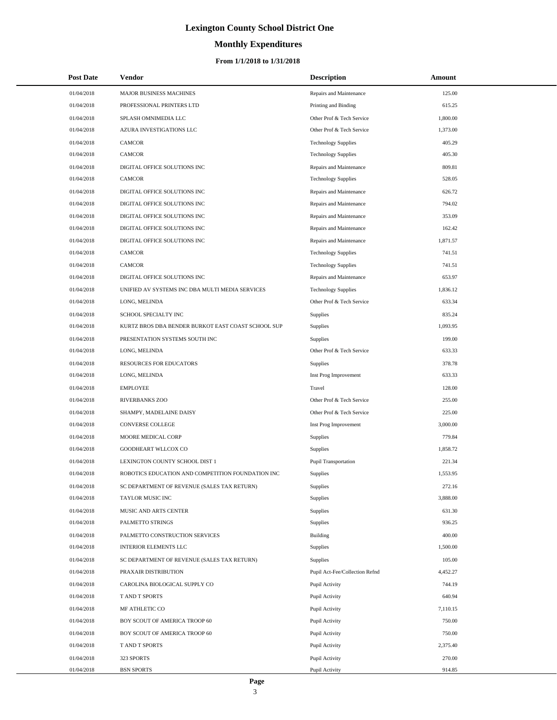# **Monthly Expenditures**

#### **From 1/1/2018 to 1/31/2018**

| <b>Post Date</b> | Vendor                                             | <b>Description</b>             | Amount   |
|------------------|----------------------------------------------------|--------------------------------|----------|
| 01/04/2018       | MAJOR BUSINESS MACHINES                            | Repairs and Maintenance        | 125.00   |
| 01/04/2018       | PROFESSIONAL PRINTERS LTD                          | Printing and Binding           | 615.25   |
| 01/04/2018       | SPLASH OMNIMEDIA LLC                               | Other Prof & Tech Service      | 1,800.00 |
| 01/04/2018       | AZURA INVESTIGATIONS LLC                           | Other Prof & Tech Service      | 1,373.00 |
| 01/04/2018       | <b>CAMCOR</b>                                      | <b>Technology Supplies</b>     | 405.29   |
| 01/04/2018       | <b>CAMCOR</b>                                      | <b>Technology Supplies</b>     | 405.30   |
| 01/04/2018       | DIGITAL OFFICE SOLUTIONS INC                       | Repairs and Maintenance        | 809.81   |
| 01/04/2018       | <b>CAMCOR</b>                                      | <b>Technology Supplies</b>     | 528.05   |
| 01/04/2018       | DIGITAL OFFICE SOLUTIONS INC                       | Repairs and Maintenance        | 626.72   |
| 01/04/2018       | DIGITAL OFFICE SOLUTIONS INC                       | Repairs and Maintenance        | 794.02   |
| 01/04/2018       | DIGITAL OFFICE SOLUTIONS INC                       | Repairs and Maintenance        | 353.09   |
| 01/04/2018       | DIGITAL OFFICE SOLUTIONS INC                       | Repairs and Maintenance        | 162.42   |
| 01/04/2018       | DIGITAL OFFICE SOLUTIONS INC                       | Repairs and Maintenance        | 1,871.57 |
| 01/04/2018       | <b>CAMCOR</b>                                      | <b>Technology Supplies</b>     | 741.51   |
| 01/04/2018       | <b>CAMCOR</b>                                      | <b>Technology Supplies</b>     | 741.51   |
| 01/04/2018       | DIGITAL OFFICE SOLUTIONS INC                       | Repairs and Maintenance        | 653.97   |
| 01/04/2018       | UNIFIED AV SYSTEMS INC DBA MULTI MEDIA SERVICES    | <b>Technology Supplies</b>     | 1,836.12 |
| 01/04/2018       | LONG, MELINDA                                      | Other Prof & Tech Service      | 633.34   |
| 01/04/2018       | SCHOOL SPECIALTY INC                               | Supplies                       | 835.24   |
| 01/04/2018       | KURTZ BROS DBA BENDER BURKOT EAST COAST SCHOOL SUP | Supplies                       | 1,093.95 |
| 01/04/2018       | PRESENTATION SYSTEMS SOUTH INC                     | Supplies                       | 199.00   |
| 01/04/2018       | LONG, MELINDA                                      | Other Prof & Tech Service      | 633.33   |
| 01/04/2018       | RESOURCES FOR EDUCATORS                            | Supplies                       | 378.78   |
| 01/04/2018       | LONG, MELINDA                                      | Inst Prog Improvement          | 633.33   |
| 01/04/2018       | <b>EMPLOYEE</b>                                    | Travel                         | 128.00   |
| 01/04/2018       | RIVERBANKS ZOO                                     | Other Prof & Tech Service      | 255.00   |
| 01/04/2018       | SHAMPY, MADELAINE DAISY                            | Other Prof & Tech Service      | 225.00   |
| 01/04/2018       | CONVERSE COLLEGE                                   | Inst Prog Improvement          | 3,000.00 |
| 01/04/2018       | MOORE MEDICAL CORP                                 | Supplies                       | 779.84   |
| 01/04/2018       | <b>GOODHEART WLLCOX CO</b>                         | Supplies                       | 1,858.72 |
| 01/04/2018       | LEXINGTON COUNTY SCHOOL DIST 1                     | Pupil Transportation           | 221.34   |
| 01/04/2018       | ROBOTICS EDUCATION AND COMPETITION FOUNDATION INC  | Supplies                       | 1,553.95 |
| 01/04/2018       | SC DEPARTMENT OF REVENUE (SALES TAX RETURN)        | Supplies                       | 272.16   |
| 01/04/2018       | TAYLOR MUSIC INC                                   | Supplies                       | 3,888.00 |
| 01/04/2018       | MUSIC AND ARTS CENTER                              | Supplies                       | 631.30   |
| 01/04/2018       | PALMETTO STRINGS                                   | Supplies                       | 936.25   |
| 01/04/2018       | PALMETTO CONSTRUCTION SERVICES                     | <b>Building</b>                | 400.00   |
| 01/04/2018       | <b>INTERIOR ELEMENTS LLC</b>                       | Supplies                       | 1,500.00 |
| 01/04/2018       | SC DEPARTMENT OF REVENUE (SALES TAX RETURN)        | Supplies                       | 105.00   |
| 01/04/2018       | PRAXAIR DISTRIBUTION                               | Pupil Act-Fee/Collection Refnd | 4,452.27 |
| 01/04/2018       | CAROLINA BIOLOGICAL SUPPLY CO                      | Pupil Activity                 | 744.19   |
| 01/04/2018       | T AND T SPORTS                                     | Pupil Activity                 | 640.94   |
| 01/04/2018       | MF ATHLETIC CO                                     | Pupil Activity                 | 7,110.15 |
| 01/04/2018       | BOY SCOUT OF AMERICA TROOP 60                      | Pupil Activity                 | 750.00   |
| 01/04/2018       | BOY SCOUT OF AMERICA TROOP 60                      | Pupil Activity                 | 750.00   |
| 01/04/2018       | T AND T SPORTS                                     | Pupil Activity                 | 2,375.40 |
| 01/04/2018       | 323 SPORTS                                         | Pupil Activity                 | 270.00   |
| 01/04/2018       | <b>BSN SPORTS</b>                                  | Pupil Activity                 | 914.85   |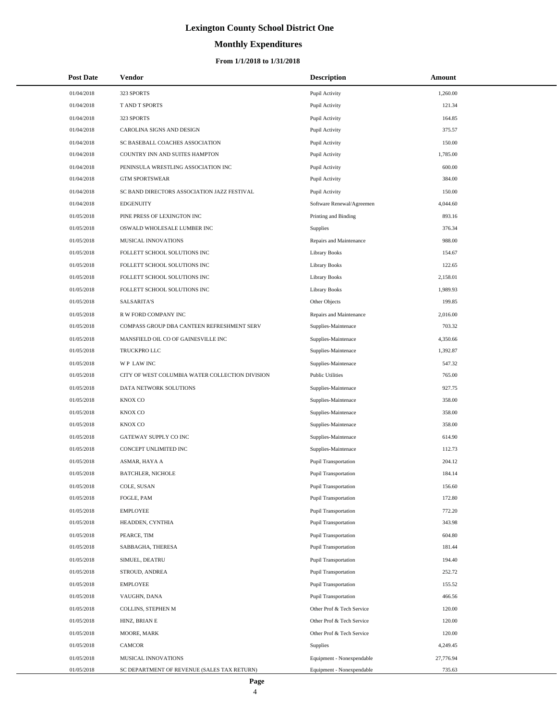# **Monthly Expenditures**

#### **From 1/1/2018 to 1/31/2018**

| <b>Post Date</b> | Vendor                                          | <b>Description</b>          | Amount    |
|------------------|-------------------------------------------------|-----------------------------|-----------|
| 01/04/2018       | 323 SPORTS                                      | Pupil Activity              | 1,260.00  |
| 01/04/2018       | T AND T SPORTS                                  | Pupil Activity              | 121.34    |
| 01/04/2018       | 323 SPORTS                                      | Pupil Activity              | 164.85    |
| 01/04/2018       | CAROLINA SIGNS AND DESIGN                       | Pupil Activity              | 375.57    |
| 01/04/2018       | SC BASEBALL COACHES ASSOCIATION                 | Pupil Activity              | 150.00    |
| 01/04/2018       | COUNTRY INN AND SUITES HAMPTON                  | Pupil Activity              | 1,785.00  |
| 01/04/2018       | PENINSULA WRESTLING ASSOCIATION INC             | Pupil Activity              | 600.00    |
| 01/04/2018       | <b>GTM SPORTSWEAR</b>                           | Pupil Activity              | 384.00    |
| 01/04/2018       | SC BAND DIRECTORS ASSOCIATION JAZZ FESTIVAL     | Pupil Activity              | 150.00    |
| 01/04/2018       | <b>EDGENUITY</b>                                | Software Renewal/Agreemen   | 4,044.60  |
| 01/05/2018       | PINE PRESS OF LEXINGTON INC                     | Printing and Binding        | 893.16    |
| 01/05/2018       | OSWALD WHOLESALE LUMBER INC                     | Supplies                    | 376.34    |
| 01/05/2018       | MUSICAL INNOVATIONS                             | Repairs and Maintenance     | 988.00    |
| 01/05/2018       | FOLLETT SCHOOL SOLUTIONS INC                    | <b>Library Books</b>        | 154.67    |
| 01/05/2018       | FOLLETT SCHOOL SOLUTIONS INC                    | <b>Library Books</b>        | 122.65    |
| 01/05/2018       | FOLLETT SCHOOL SOLUTIONS INC                    | <b>Library Books</b>        | 2,158.01  |
| 01/05/2018       | FOLLETT SCHOOL SOLUTIONS INC                    | <b>Library Books</b>        | 1,989.93  |
| 01/05/2018       | <b>SALSARITA'S</b>                              | Other Objects               | 199.85    |
| 01/05/2018       | R W FORD COMPANY INC                            | Repairs and Maintenance     | 2,016.00  |
| 01/05/2018       | COMPASS GROUP DBA CANTEEN REFRESHMENT SERV      | Supplies-Maintenace         | 703.32    |
| 01/05/2018       | MANSFIELD OIL CO OF GAINESVILLE INC             | Supplies-Maintenace         | 4,350.66  |
| 01/05/2018       | TRUCKPRO LLC                                    | Supplies-Maintenace         | 1,392.87  |
| 01/05/2018       | <b>WP LAWINC</b>                                | Supplies-Maintenace         | 547.32    |
| 01/05/2018       | CITY OF WEST COLUMBIA WATER COLLECTION DIVISION | <b>Public Utilities</b>     | 765.00    |
| 01/05/2018       | DATA NETWORK SOLUTIONS                          | Supplies-Maintenace         | 927.75    |
| 01/05/2018       | KNOX CO                                         | Supplies-Maintenace         | 358.00    |
| 01/05/2018       | KNOX CO                                         | Supplies-Maintenace         | 358.00    |
| 01/05/2018       | <b>KNOX CO</b>                                  | Supplies-Maintenace         | 358.00    |
| 01/05/2018       | GATEWAY SUPPLY CO INC                           | Supplies-Maintenace         | 614.90    |
| 01/05/2018       | CONCEPT UNLIMITED INC                           | Supplies-Maintenace         | 112.73    |
| 01/05/2018       | ASMAR, HAYA A                                   | <b>Pupil Transportation</b> | 204.12    |
| 01/05/2018       | <b>BATCHLER, NICHOLE</b>                        | Pupil Transportation        | 184.14    |
| 01/05/2018       | COLE, SUSAN                                     | <b>Pupil Transportation</b> | 156.60    |
| 01/05/2018       | FOGLE, PAM                                      | <b>Pupil Transportation</b> | 172.80    |
| 01/05/2018       | <b>EMPLOYEE</b>                                 | <b>Pupil Transportation</b> | 772.20    |
| 01/05/2018       | HEADDEN, CYNTHIA                                | <b>Pupil Transportation</b> | 343.98    |
| 01/05/2018       | PEARCE, TIM                                     | <b>Pupil Transportation</b> | 604.80    |
| 01/05/2018       | SABBAGHA, THERESA                               | <b>Pupil Transportation</b> | 181.44    |
| 01/05/2018       | SIMUEL, DEATRU                                  | <b>Pupil Transportation</b> | 194.40    |
| 01/05/2018       | STROUD, ANDREA                                  | <b>Pupil Transportation</b> | 252.72    |
| 01/05/2018       | <b>EMPLOYEE</b>                                 | <b>Pupil Transportation</b> | 155.52    |
| 01/05/2018       | VAUGHN, DANA                                    | <b>Pupil Transportation</b> | 466.56    |
| 01/05/2018       | COLLINS, STEPHEN M                              | Other Prof & Tech Service   | 120.00    |
| 01/05/2018       | HINZ, BRIAN E                                   | Other Prof & Tech Service   | 120.00    |
| 01/05/2018       | MOORE, MARK                                     | Other Prof & Tech Service   | 120.00    |
| 01/05/2018       | CAMCOR                                          | <b>Supplies</b>             | 4,249.45  |
| 01/05/2018       | MUSICAL INNOVATIONS                             | Equipment - Nonexpendable   | 27,776.94 |
| 01/05/2018       | SC DEPARTMENT OF REVENUE (SALES TAX RETURN)     | Equipment - Nonexpendable   | 735.63    |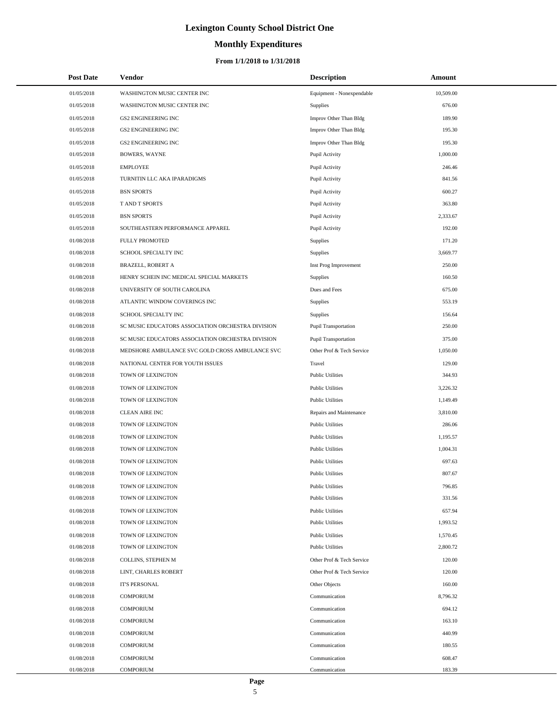# **Monthly Expenditures**

#### **From 1/1/2018 to 1/31/2018**

| <b>Post Date</b> | Vendor                                            | <b>Description</b>          | Amount    |
|------------------|---------------------------------------------------|-----------------------------|-----------|
| 01/05/2018       | WASHINGTON MUSIC CENTER INC                       | Equipment - Nonexpendable   | 10,509.00 |
| 01/05/2018       | WASHINGTON MUSIC CENTER INC                       | Supplies                    | 676.00    |
| 01/05/2018       | <b>GS2 ENGINEERING INC</b>                        | Improv Other Than Bldg      | 189.90    |
| 01/05/2018       | <b>GS2 ENGINEERING INC</b>                        | Improv Other Than Bldg      | 195.30    |
| 01/05/2018       | <b>GS2 ENGINEERING INC</b>                        | Improv Other Than Bldg      | 195.30    |
| 01/05/2018       | <b>BOWERS, WAYNE</b>                              | Pupil Activity              | 1,000.00  |
| 01/05/2018       | <b>EMPLOYEE</b>                                   | Pupil Activity              | 246.46    |
| 01/05/2018       | TURNITIN LLC AKA IPARADIGMS                       | Pupil Activity              | 841.56    |
| 01/05/2018       | <b>BSN SPORTS</b>                                 | Pupil Activity              | 600.27    |
| 01/05/2018       | T AND T SPORTS                                    | Pupil Activity              | 363.80    |
| 01/05/2018       | <b>BSN SPORTS</b>                                 | Pupil Activity              | 2,333.67  |
| 01/05/2018       | SOUTHEASTERN PERFORMANCE APPAREL                  | Pupil Activity              | 192.00    |
| 01/08/2018       | <b>FULLY PROMOTED</b>                             | Supplies                    | 171.20    |
| 01/08/2018       | SCHOOL SPECIALTY INC                              | Supplies                    | 3,669.77  |
| 01/08/2018       | <b>BRAZELL, ROBERT A</b>                          | Inst Prog Improvement       | 250.00    |
| 01/08/2018       | HENRY SCHEIN INC MEDICAL SPECIAL MARKETS          | Supplies                    | 160.50    |
| 01/08/2018       | UNIVERSITY OF SOUTH CAROLINA                      | Dues and Fees               | 675.00    |
| 01/08/2018       | ATLANTIC WINDOW COVERINGS INC                     | Supplies                    | 553.19    |
| 01/08/2018       | SCHOOL SPECIALTY INC                              | Supplies                    | 156.64    |
| 01/08/2018       | SC MUSIC EDUCATORS ASSOCIATION ORCHESTRA DIVISION | <b>Pupil Transportation</b> | 250.00    |
| 01/08/2018       | SC MUSIC EDUCATORS ASSOCIATION ORCHESTRA DIVISION | <b>Pupil Transportation</b> | 375.00    |
| 01/08/2018       | MEDSHORE AMBULANCE SVC GOLD CROSS AMBULANCE SVC   | Other Prof & Tech Service   | 1,050.00  |
| 01/08/2018       | NATIONAL CENTER FOR YOUTH ISSUES                  | Travel                      | 129.00    |
| 01/08/2018       | TOWN OF LEXINGTON                                 | <b>Public Utilities</b>     | 344.93    |
| 01/08/2018       | TOWN OF LEXINGTON                                 | <b>Public Utilities</b>     | 3,226.32  |
| 01/08/2018       | TOWN OF LEXINGTON                                 | <b>Public Utilities</b>     | 1,149.49  |
| 01/08/2018       | <b>CLEAN AIRE INC</b>                             | Repairs and Maintenance     | 3,810.00  |
| 01/08/2018       | TOWN OF LEXINGTON                                 | <b>Public Utilities</b>     | 286.06    |
| 01/08/2018       | TOWN OF LEXINGTON                                 | <b>Public Utilities</b>     | 1,195.57  |
| 01/08/2018       | TOWN OF LEXINGTON                                 | <b>Public Utilities</b>     | 1,004.31  |
| 01/08/2018       | TOWN OF LEXINGTON                                 | <b>Public Utilities</b>     | 697.63    |
| 01/08/2018       | TOWN OF LEXINGTON                                 | <b>Public Utilities</b>     | 807.67    |
| 01/08/2018       | TOWN OF LEXINGTON                                 | <b>Public Utilities</b>     | 796.85    |
| 01/08/2018       | TOWN OF LEXINGTON                                 | <b>Public Utilities</b>     | 331.56    |
| 01/08/2018       | TOWN OF LEXINGTON                                 | <b>Public Utilities</b>     | 657.94    |
| 01/08/2018       | TOWN OF LEXINGTON                                 | <b>Public Utilities</b>     | 1,993.52  |
| 01/08/2018       | TOWN OF LEXINGTON                                 | <b>Public Utilities</b>     | 1,570.45  |
| 01/08/2018       | TOWN OF LEXINGTON                                 | <b>Public Utilities</b>     | 2,800.72  |
| 01/08/2018       | COLLINS, STEPHEN M                                | Other Prof & Tech Service   | 120.00    |
| 01/08/2018       | LINT, CHARLES ROBERT                              | Other Prof & Tech Service   | 120.00    |
| 01/08/2018       | <b>IT'S PERSONAL</b>                              | Other Objects               | 160.00    |
| 01/08/2018       | <b>COMPORIUM</b>                                  | Communication               | 8,796.32  |
| 01/08/2018       | <b>COMPORIUM</b>                                  | Communication               | 694.12    |
| 01/08/2018       | <b>COMPORIUM</b>                                  | Communication               | 163.10    |
| 01/08/2018       | <b>COMPORIUM</b>                                  | Communication               | 440.99    |
| 01/08/2018       | <b>COMPORIUM</b>                                  | Communication               | 180.55    |
| 01/08/2018       | <b>COMPORIUM</b>                                  | Communication               | 608.47    |
| 01/08/2018       | COMPORIUM                                         | Communication               | 183.39    |

L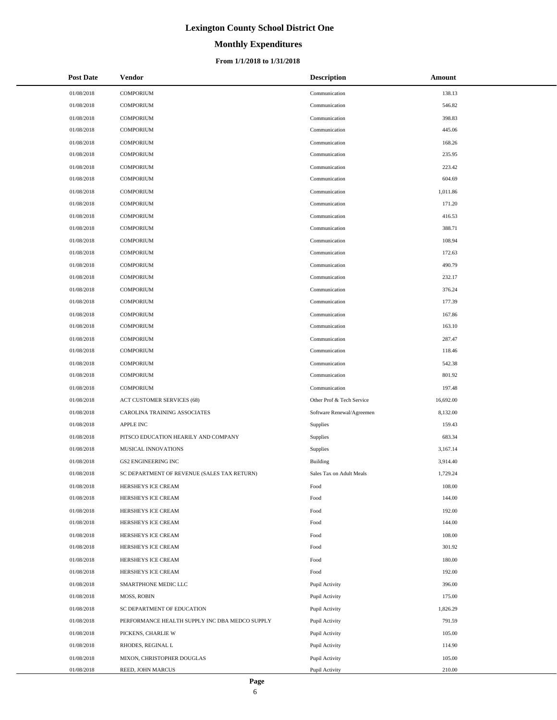# **Monthly Expenditures**

#### **From 1/1/2018 to 1/31/2018**

| <b>Post Date</b> | Vendor                                         | <b>Description</b>        | Amount    |
|------------------|------------------------------------------------|---------------------------|-----------|
| 01/08/2018       | <b>COMPORIUM</b>                               | Communication             | 138.13    |
| 01/08/2018       | <b>COMPORIUM</b>                               | Communication             | 546.82    |
| 01/08/2018       | <b>COMPORIUM</b>                               | Communication             | 398.83    |
| 01/08/2018       | <b>COMPORIUM</b>                               | Communication             | 445.06    |
| 01/08/2018       | <b>COMPORIUM</b>                               | Communication             | 168.26    |
| 01/08/2018       | <b>COMPORIUM</b>                               | Communication             | 235.95    |
| 01/08/2018       | <b>COMPORIUM</b>                               | Communication             | 223.42    |
| 01/08/2018       | <b>COMPORIUM</b>                               | Communication             | 604.69    |
| 01/08/2018       | <b>COMPORIUM</b>                               | Communication             | 1.011.86  |
| 01/08/2018       | <b>COMPORIUM</b>                               | Communication             | 171.20    |
| 01/08/2018       | <b>COMPORIUM</b>                               | Communication             | 416.53    |
| 01/08/2018       | <b>COMPORIUM</b>                               | Communication             | 388.71    |
| 01/08/2018       | <b>COMPORIUM</b>                               | Communication             | 108.94    |
| 01/08/2018       | <b>COMPORIUM</b>                               | Communication             | 172.63    |
| 01/08/2018       | <b>COMPORIUM</b>                               | Communication             | 490.79    |
| 01/08/2018       | <b>COMPORIUM</b>                               | Communication             | 232.17    |
| 01/08/2018       | <b>COMPORIUM</b>                               | Communication             | 376.24    |
| 01/08/2018       | <b>COMPORIUM</b>                               | Communication             | 177.39    |
| 01/08/2018       | <b>COMPORIUM</b>                               | Communication             | 167.86    |
| 01/08/2018       | <b>COMPORIUM</b>                               | Communication             | 163.10    |
| 01/08/2018       | <b>COMPORIUM</b>                               | Communication             | 287.47    |
| 01/08/2018       | <b>COMPORIUM</b>                               | Communication             | 118.46    |
| 01/08/2018       | <b>COMPORIUM</b>                               | Communication             | 542.38    |
| 01/08/2018       | <b>COMPORIUM</b>                               | Communication             | 801.92    |
| 01/08/2018       | <b>COMPORIUM</b>                               | Communication             | 197.48    |
| 01/08/2018       | ACT CUSTOMER SERVICES (68)                     | Other Prof & Tech Service | 16,692.00 |
| 01/08/2018       | CAROLINA TRAINING ASSOCIATES                   | Software Renewal/Agreemen | 8,132.00  |
| 01/08/2018       | APPLE INC                                      | Supplies                  | 159.43    |
| 01/08/2018       | PITSCO EDUCATION HEARILY AND COMPANY           | Supplies                  | 683.34    |
| 01/08/2018       | MUSICAL INNOVATIONS                            | Supplies                  | 3,167.14  |
| 01/08/2018       | <b>GS2 ENGINEERING INC</b>                     | Building                  | 3,914.40  |
| 01/08/2018       | SC DEPARTMENT OF REVENUE (SALES TAX RETURN)    | Sales Tax on Adult Meals  | 1,729.24  |
| 01/08/2018       | HERSHEYS ICE CREAM                             | Food                      | 108.00    |
| 01/08/2018       | HERSHEYS ICE CREAM                             | Food                      | 144.00    |
| 01/08/2018       | HERSHEYS ICE CREAM                             | Food                      | 192.00    |
| 01/08/2018       | HERSHEYS ICE CREAM                             | Food                      | 144.00    |
| 01/08/2018       | HERSHEYS ICE CREAM                             | Food                      | 108.00    |
| 01/08/2018       | HERSHEYS ICE CREAM                             | Food                      | 301.92    |
| 01/08/2018       | HERSHEYS ICE CREAM                             | Food                      | 180.00    |
| 01/08/2018       | HERSHEYS ICE CREAM                             | Food                      | 192.00    |
| 01/08/2018       | SMARTPHONE MEDIC LLC                           | Pupil Activity            | 396.00    |
| 01/08/2018       | <b>MOSS, ROBIN</b>                             | Pupil Activity            | 175.00    |
| 01/08/2018       | SC DEPARTMENT OF EDUCATION                     | Pupil Activity            | 1,826.29  |
| 01/08/2018       | PERFORMANCE HEALTH SUPPLY INC DBA MEDCO SUPPLY | Pupil Activity            | 791.59    |
| 01/08/2018       | PICKENS, CHARLIE W                             | Pupil Activity            | 105.00    |
| 01/08/2018       | RHODES, REGINAL L                              | Pupil Activity            | 114.90    |
| 01/08/2018       | MIXON, CHRISTOPHER DOUGLAS                     | Pupil Activity            | 105.00    |
| 01/08/2018       | REED, JOHN MARCUS                              | Pupil Activity            | 210.00    |

÷.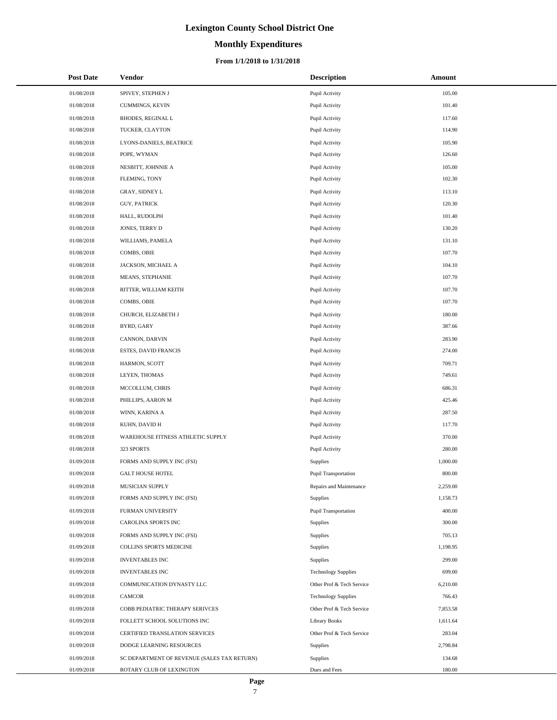# **Monthly Expenditures**

| <b>Post Date</b> | Vendor                                      | <b>Description</b>          | Amount   |
|------------------|---------------------------------------------|-----------------------------|----------|
| 01/08/2018       | SPIVEY, STEPHEN J                           | Pupil Activity              | 105.00   |
| 01/08/2018       | CUMMINGS, KEVIN                             | Pupil Activity              | 101.40   |
| 01/08/2018       | RHODES, REGINAL L                           | Pupil Activity              | 117.60   |
| 01/08/2018       | TUCKER, CLAYTON                             | Pupil Activity              | 114.90   |
| 01/08/2018       | LYONS-DANIELS, BEATRICE                     | Pupil Activity              | 105.90   |
| 01/08/2018       | POPE, WYMAN                                 | Pupil Activity              | 126.60   |
| 01/08/2018       | NESBITT, JOHNNIE A                          | Pupil Activity              | 105.00   |
| 01/08/2018       | FLEMING, TONY                               | Pupil Activity              | 102.30   |
| 01/08/2018       | GRAY, SIDNEY L                              | Pupil Activity              | 113.10   |
| 01/08/2018       | <b>GUY, PATRICK</b>                         | Pupil Activity              | 120.30   |
| 01/08/2018       | HALL, RUDOLPH                               | Pupil Activity              | 101.40   |
| 01/08/2018       | JONES, TERRY D                              | Pupil Activity              | 130.20   |
| 01/08/2018       | WILLIAMS, PAMELA                            | Pupil Activity              | 131.10   |
| 01/08/2018       | COMBS, OBIE                                 | Pupil Activity              | 107.70   |
| 01/08/2018       | JACKSON, MICHAEL A                          | Pupil Activity              | 104.10   |
| 01/08/2018       | MEANS, STEPHANIE                            | Pupil Activity              | 107.70   |
| 01/08/2018       | RITTER, WILLIAM KEITH                       | Pupil Activity              | 107.70   |
| 01/08/2018       | COMBS, OBIE                                 | Pupil Activity              | 107.70   |
| 01/08/2018       | CHURCH, ELIZABETH J                         | Pupil Activity              | 180.00   |
| 01/08/2018       | BYRD, GARY                                  | Pupil Activity              | 387.66   |
| 01/08/2018       | CANNON, DARVIN                              | Pupil Activity              | 283.90   |
| 01/08/2018       | ESTES, DAVID FRANCIS                        | Pupil Activity              | 274.00   |
| 01/08/2018       | HARMON, SCOTT                               | Pupil Activity              | 709.71   |
| 01/08/2018       | LEYEN, THOMAS                               | Pupil Activity              | 749.61   |
| 01/08/2018       | MCCOLLUM, CHRIS                             | Pupil Activity              | 686.31   |
| 01/08/2018       | PHILLIPS, AARON M                           | Pupil Activity              | 425.46   |
| 01/08/2018       | WINN, KARINA A                              | Pupil Activity              | 287.50   |
| 01/08/2018       | KUHN, DAVID H                               | Pupil Activity              | 117.70   |
| 01/08/2018       | WAREHOUSE FITNESS ATHLETIC SUPPLY           | Pupil Activity              | 370.00   |
| 01/08/2018       | 323 SPORTS                                  | Pupil Activity              | 280.00   |
| 01/09/2018       | FORMS AND SUPPLY INC (FSI)                  | Supplies                    | 1,000.00 |
| 01/09/2018       | <b>GALT HOUSE HOTEL</b>                     | Pupil Transportation        | 800.00   |
| 01/09/2018       | MUSICIAN SUPPLY                             | Repairs and Maintenance     | 2,259.00 |
| 01/09/2018       | FORMS AND SUPPLY INC (FSI)                  | Supplies                    | 1,158.73 |
| 01/09/2018       | FURMAN UNIVERSITY                           | <b>Pupil Transportation</b> | 400.00   |
| 01/09/2018       | CAROLINA SPORTS INC                         | Supplies                    | 300.00   |
| 01/09/2018       | FORMS AND SUPPLY INC (FSI)                  | Supplies                    | 705.13   |
| 01/09/2018       | COLLINS SPORTS MEDICINE                     | <b>Supplies</b>             | 1,198.95 |
| 01/09/2018       | <b>INVENTABLES INC</b>                      | <b>Supplies</b>             | 299.00   |
| 01/09/2018       | <b>INVENTABLES INC</b>                      | <b>Technology Supplies</b>  | 699.00   |
| 01/09/2018       | COMMUNICATION DYNASTY LLC                   | Other Prof & Tech Service   | 6,210.00 |
| 01/09/2018       | <b>CAMCOR</b>                               | <b>Technology Supplies</b>  | 766.43   |
| 01/09/2018       | COBB PEDIATRIC THERAPY SERIVCES             | Other Prof & Tech Service   | 7,853.58 |
| 01/09/2018       | FOLLETT SCHOOL SOLUTIONS INC                | Library Books               | 1,611.64 |
| 01/09/2018       | CERTIFIED TRANSLATION SERVICES              | Other Prof & Tech Service   | 283.04   |
| 01/09/2018       | DODGE LEARNING RESOURCES                    | <b>Supplies</b>             | 2,798.84 |
| 01/09/2018       | SC DEPARTMENT OF REVENUE (SALES TAX RETURN) | Supplies                    | 134.68   |
| 01/09/2018       | ROTARY CLUB OF LEXINGTON                    | Dues and Fees               | 180.00   |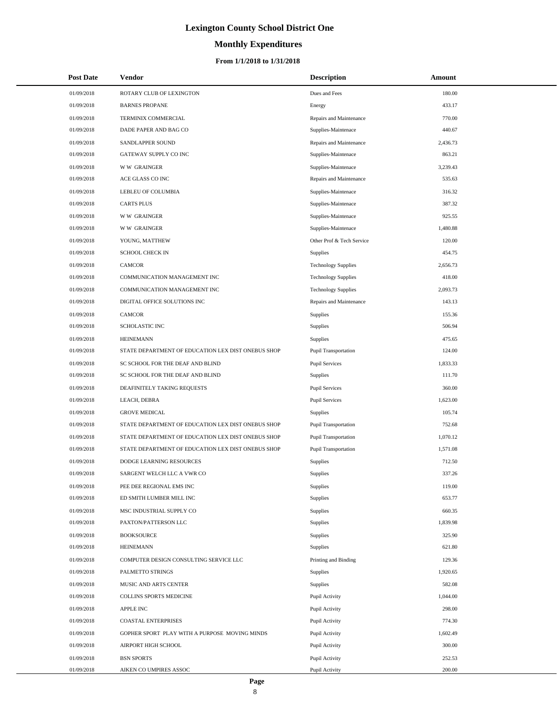# **Monthly Expenditures**

#### **From 1/1/2018 to 1/31/2018**

| <b>Post Date</b> | Vendor                                             | <b>Description</b>          | Amount   |  |
|------------------|----------------------------------------------------|-----------------------------|----------|--|
| 01/09/2018       | ROTARY CLUB OF LEXINGTON                           | Dues and Fees               | 180.00   |  |
| 01/09/2018       | <b>BARNES PROPANE</b>                              | Energy                      | 433.17   |  |
| 01/09/2018       | TERMINIX COMMERCIAL                                | Repairs and Maintenance     | 770.00   |  |
| 01/09/2018       | DADE PAPER AND BAG CO                              | Supplies-Maintenace         | 440.67   |  |
| 01/09/2018       | SANDLAPPER SOUND                                   | Repairs and Maintenance     | 2,436.73 |  |
| 01/09/2018       | GATEWAY SUPPLY CO INC                              | Supplies-Maintenace         | 863.21   |  |
| 01/09/2018       | <b>WW GRAINGER</b>                                 | Supplies-Maintenace         | 3,239.43 |  |
| 01/09/2018       | ACE GLASS CO INC                                   | Repairs and Maintenance     | 535.63   |  |
| 01/09/2018       | LEBLEU OF COLUMBIA                                 | Supplies-Maintenace         | 316.32   |  |
| 01/09/2018       | <b>CARTS PLUS</b>                                  | Supplies-Maintenace         | 387.32   |  |
| 01/09/2018       | <b>WW GRAINGER</b>                                 | Supplies-Maintenace         | 925.55   |  |
| 01/09/2018       | <b>WW GRAINGER</b>                                 | Supplies-Maintenace         | 1,480.88 |  |
| 01/09/2018       | YOUNG, MATTHEW                                     | Other Prof & Tech Service   | 120.00   |  |
| 01/09/2018       | <b>SCHOOL CHECK IN</b>                             | Supplies                    | 454.75   |  |
| 01/09/2018       | <b>CAMCOR</b>                                      | <b>Technology Supplies</b>  | 2,656.73 |  |
| 01/09/2018       | COMMUNICATION MANAGEMENT INC                       | <b>Technology Supplies</b>  | 418.00   |  |
| 01/09/2018       | COMMUNICATION MANAGEMENT INC                       | <b>Technology Supplies</b>  | 2,093.73 |  |
| 01/09/2018       | DIGITAL OFFICE SOLUTIONS INC                       | Repairs and Maintenance     | 143.13   |  |
| 01/09/2018       | <b>CAMCOR</b>                                      | <b>Supplies</b>             | 155.36   |  |
| 01/09/2018       | <b>SCHOLASTIC INC</b>                              | Supplies                    | 506.94   |  |
| 01/09/2018       | <b>HEINEMANN</b>                                   | Supplies                    | 475.65   |  |
| 01/09/2018       | STATE DEPARTMENT OF EDUCATION LEX DIST ONEBUS SHOP | Pupil Transportation        | 124.00   |  |
| 01/09/2018       | SC SCHOOL FOR THE DEAF AND BLIND                   | <b>Pupil Services</b>       | 1,833.33 |  |
| 01/09/2018       | SC SCHOOL FOR THE DEAF AND BLIND                   | <b>Supplies</b>             | 111.70   |  |
| 01/09/2018       | DEAFINITELY TAKING REQUESTS                        | <b>Pupil Services</b>       | 360.00   |  |
| 01/09/2018       | LEACH, DEBRA                                       | <b>Pupil Services</b>       | 1,623.00 |  |
| 01/09/2018       | <b>GROVE MEDICAL</b>                               | <b>Supplies</b>             | 105.74   |  |
| 01/09/2018       | STATE DEPARTMENT OF EDUCATION LEX DIST ONEBUS SHOP | <b>Pupil Transportation</b> | 752.68   |  |
| 01/09/2018       | STATE DEPARTMENT OF EDUCATION LEX DIST ONEBUS SHOP | <b>Pupil Transportation</b> | 1,070.12 |  |
| 01/09/2018       | STATE DEPARTMENT OF EDUCATION LEX DIST ONEBUS SHOP | Pupil Transportation        | 1,571.08 |  |
| 01/09/2018       | DODGE LEARNING RESOURCES                           | <b>Supplies</b>             | 712.50   |  |
| 01/09/2018       | SARGENT WELCH LLC A VWR CO                         | Supplies                    | 337.26   |  |
| 01/09/2018       | PEE DEE REGIONAL EMS INC                           | Supplies                    | 119.00   |  |
| 01/09/2018       | ED SMITH LUMBER MILL INC                           | <b>Supplies</b>             | 653.77   |  |
| 01/09/2018       | MSC INDUSTRIAL SUPPLY CO                           | <b>Supplies</b>             | 660.35   |  |
| 01/09/2018       | PAXTON/PATTERSON LLC                               | Supplies                    | 1,839.98 |  |
| 01/09/2018       | <b>BOOKSOURCE</b>                                  | <b>Supplies</b>             | 325.90   |  |
| 01/09/2018       | <b>HEINEMANN</b>                                   | <b>Supplies</b>             | 621.80   |  |
| 01/09/2018       | COMPUTER DESIGN CONSULTING SERVICE LLC             | Printing and Binding        | 129.36   |  |
| 01/09/2018       | PALMETTO STRINGS                                   | Supplies                    | 1,920.65 |  |
| 01/09/2018       | MUSIC AND ARTS CENTER                              | <b>Supplies</b>             | 582.08   |  |
| 01/09/2018       | COLLINS SPORTS MEDICINE                            | Pupil Activity              | 1,044.00 |  |
| 01/09/2018       | <b>APPLE INC</b>                                   | Pupil Activity              | 298.00   |  |
| 01/09/2018       | <b>COASTAL ENTERPRISES</b>                         | Pupil Activity              | 774.30   |  |
| 01/09/2018       | GOPHER SPORT PLAY WITH A PURPOSE MOVING MINDS      | Pupil Activity              | 1,602.49 |  |
| 01/09/2018       | AIRPORT HIGH SCHOOL                                | Pupil Activity              | 300.00   |  |
| 01/09/2018       | <b>BSN SPORTS</b>                                  | Pupil Activity              | 252.53   |  |
| 01/09/2018       | AIKEN CO UMPIRES ASSOC                             | Pupil Activity              | 200.00   |  |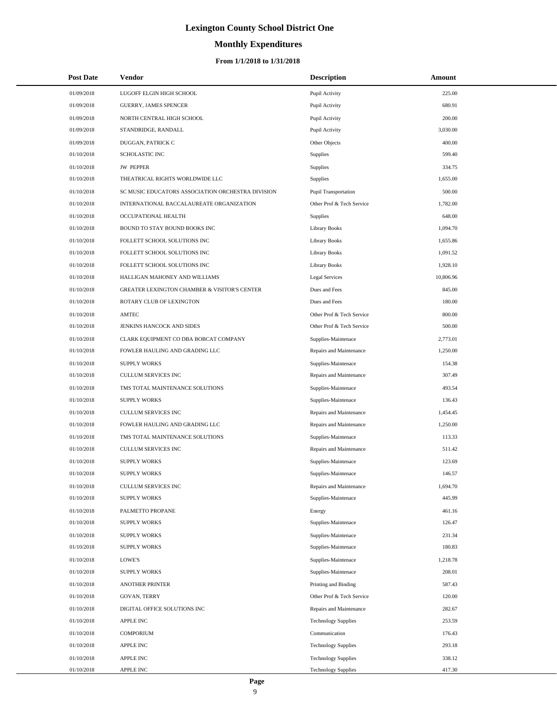# **Monthly Expenditures**

#### **From 1/1/2018 to 1/31/2018**

| <b>Post Date</b> | Vendor                                            | <b>Description</b>         | Amount    |  |
|------------------|---------------------------------------------------|----------------------------|-----------|--|
| 01/09/2018       | LUGOFF ELGIN HIGH SCHOOL                          | Pupil Activity             | 225.00    |  |
| 01/09/2018       | GUERRY, JAMES SPENCER                             | Pupil Activity             | 680.91    |  |
| 01/09/2018       | NORTH CENTRAL HIGH SCHOOL                         | Pupil Activity             | 200.00    |  |
| 01/09/2018       | STANDRIDGE, RANDALL                               | Pupil Activity             | 3,030.00  |  |
| 01/09/2018       | DUGGAN, PATRICK C                                 | Other Objects              | 400.00    |  |
| 01/10/2018       | <b>SCHOLASTIC INC</b>                             | <b>Supplies</b>            | 599.40    |  |
| 01/10/2018       | <b>JW PEPPER</b>                                  | Supplies                   | 334.75    |  |
| 01/10/2018       | THEATRICAL RIGHTS WORLDWIDE LLC                   | Supplies                   | 1,655.00  |  |
| 01/10/2018       | SC MUSIC EDUCATORS ASSOCIATION ORCHESTRA DIVISION | Pupil Transportation       | 500.00    |  |
| 01/10/2018       | INTERNATIONAL BACCALAUREATE ORGANIZATION          | Other Prof & Tech Service  | 1,782.00  |  |
| 01/10/2018       | OCCUPATIONAL HEALTH                               | Supplies                   | 648.00    |  |
| 01/10/2018       | BOUND TO STAY BOUND BOOKS INC                     | <b>Library Books</b>       | 1,094.70  |  |
| 01/10/2018       | FOLLETT SCHOOL SOLUTIONS INC                      | Library Books              | 1,655.86  |  |
| 01/10/2018       | FOLLETT SCHOOL SOLUTIONS INC                      | <b>Library Books</b>       | 1.091.52  |  |
| 01/10/2018       | FOLLETT SCHOOL SOLUTIONS INC                      | <b>Library Books</b>       | 1,928.10  |  |
| 01/10/2018       | HALLIGAN MAHONEY AND WILLIAMS                     | <b>Legal Services</b>      | 10,806.96 |  |
| 01/10/2018       | GREATER LEXINGTON CHAMBER & VISITOR'S CENTER      | Dues and Fees              | 845.00    |  |
| 01/10/2018       | ROTARY CLUB OF LEXINGTON                          | Dues and Fees              | 180.00    |  |
| 01/10/2018       | AMTEC                                             | Other Prof & Tech Service  | 800.00    |  |
| 01/10/2018       | JENKINS HANCOCK AND SIDES                         | Other Prof & Tech Service  | 500.00    |  |
| 01/10/2018       | CLARK EQUIPMENT CO DBA BOBCAT COMPANY             | Supplies-Maintenace        | 2,773.01  |  |
| 01/10/2018       | FOWLER HAULING AND GRADING LLC                    | Repairs and Maintenance    | 1,250.00  |  |
| 01/10/2018       | <b>SUPPLY WORKS</b>                               | Supplies-Maintenace        | 154.38    |  |
| 01/10/2018       | <b>CULLUM SERVICES INC</b>                        | Repairs and Maintenance    | 307.49    |  |
| 01/10/2018       | TMS TOTAL MAINTENANCE SOLUTIONS                   | Supplies-Maintenace        | 493.54    |  |
| 01/10/2018       | <b>SUPPLY WORKS</b>                               | Supplies-Maintenace        | 136.43    |  |
| 01/10/2018       | <b>CULLUM SERVICES INC</b>                        | Repairs and Maintenance    | 1,454.45  |  |
| 01/10/2018       | FOWLER HAULING AND GRADING LLC                    | Repairs and Maintenance    | 1,250.00  |  |
| 01/10/2018       | TMS TOTAL MAINTENANCE SOLUTIONS                   | Supplies-Maintenace        | 113.33    |  |
| 01/10/2018       | <b>CULLUM SERVICES INC</b>                        | Repairs and Maintenance    | 511.42    |  |
| 01/10/2018       | <b>SUPPLY WORKS</b>                               | Supplies-Maintenace        | 123.69    |  |
| 01/10/2018       | <b>SUPPLY WORKS</b>                               | Supplies-Maintenace        | 146.57    |  |
| 01/10/2018       | CULLUM SERVICES INC                               | Repairs and Maintenance    | 1,694.70  |  |
| 01/10/2018       | <b>SUPPLY WORKS</b>                               | Supplies-Maintenace        | 445.99    |  |
| 01/10/2018       | PALMETTO PROPANE                                  | Energy                     | 461.16    |  |
| 01/10/2018       | <b>SUPPLY WORKS</b>                               | Supplies-Maintenace        | 126.47    |  |
| 01/10/2018       | <b>SUPPLY WORKS</b>                               | Supplies-Maintenace        | 231.34    |  |
| 01/10/2018       | <b>SUPPLY WORKS</b>                               | Supplies-Maintenace        | 180.83    |  |
| 01/10/2018       | LOWE'S                                            | Supplies-Maintenace        | 1,218.78  |  |
| 01/10/2018       | <b>SUPPLY WORKS</b>                               | Supplies-Maintenace        | 208.01    |  |
| 01/10/2018       | <b>ANOTHER PRINTER</b>                            | Printing and Binding       | 587.43    |  |
| 01/10/2018       | <b>GOVAN, TERRY</b>                               | Other Prof & Tech Service  | 120.00    |  |
| 01/10/2018       | DIGITAL OFFICE SOLUTIONS INC                      | Repairs and Maintenance    | 282.67    |  |
| 01/10/2018       | <b>APPLE INC</b>                                  | <b>Technology Supplies</b> | 253.59    |  |
| 01/10/2018       | <b>COMPORIUM</b>                                  | Communication              | 176.43    |  |
| 01/10/2018       | <b>APPLE INC</b>                                  | <b>Technology Supplies</b> | 293.18    |  |
| 01/10/2018       | <b>APPLE INC</b>                                  | <b>Technology Supplies</b> | 338.12    |  |
| 01/10/2018       | <b>APPLE INC</b>                                  | <b>Technology Supplies</b> | 417.30    |  |

 $\overline{a}$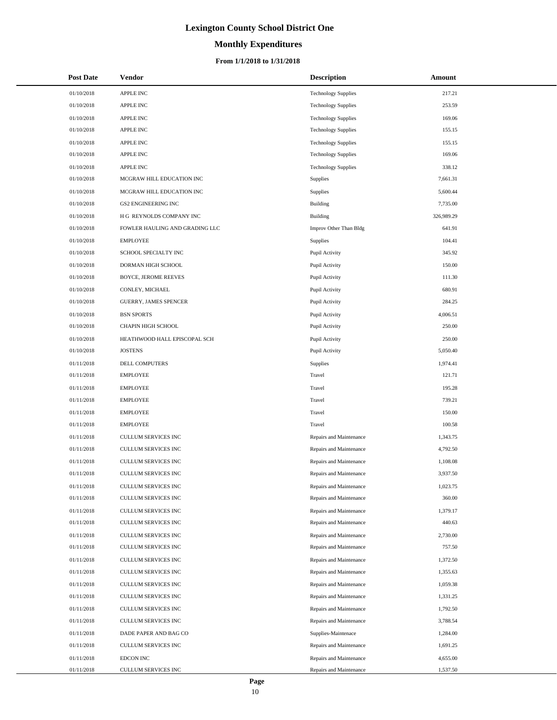# **Monthly Expenditures**

#### **From 1/1/2018 to 1/31/2018**

| <b>Post Date</b> | Vendor                         | <b>Description</b>         | Amount     |
|------------------|--------------------------------|----------------------------|------------|
| 01/10/2018       | <b>APPLE INC</b>               | <b>Technology Supplies</b> | 217.21     |
| 01/10/2018       | <b>APPLE INC</b>               | <b>Technology Supplies</b> | 253.59     |
| 01/10/2018       | <b>APPLE INC</b>               | <b>Technology Supplies</b> | 169.06     |
| 01/10/2018       | <b>APPLE INC</b>               | <b>Technology Supplies</b> | 155.15     |
| 01/10/2018       | <b>APPLE INC</b>               | <b>Technology Supplies</b> | 155.15     |
| 01/10/2018       | <b>APPLE INC</b>               | <b>Technology Supplies</b> | 169.06     |
| 01/10/2018       | <b>APPLE INC</b>               | <b>Technology Supplies</b> | 338.12     |
| 01/10/2018       | MCGRAW HILL EDUCATION INC      | Supplies                   | 7,661.31   |
| 01/10/2018       | MCGRAW HILL EDUCATION INC      | Supplies                   | 5,600.44   |
| 01/10/2018       | <b>GS2 ENGINEERING INC</b>     | Building                   | 7,735.00   |
| 01/10/2018       | H G REYNOLDS COMPANY INC       | <b>Building</b>            | 326,989.29 |
| 01/10/2018       | FOWLER HAULING AND GRADING LLC | Improv Other Than Bldg     | 641.91     |
| 01/10/2018       | <b>EMPLOYEE</b>                | <b>Supplies</b>            | 104.41     |
| 01/10/2018       | SCHOOL SPECIALTY INC           | Pupil Activity             | 345.92     |
| 01/10/2018       | DORMAN HIGH SCHOOL             | Pupil Activity             | 150.00     |
| 01/10/2018       | <b>BOYCE, JEROME REEVES</b>    | Pupil Activity             | 111.30     |
| 01/10/2018       | CONLEY, MICHAEL                | Pupil Activity             | 680.91     |
| 01/10/2018       | <b>GUERRY, JAMES SPENCER</b>   | Pupil Activity             | 284.25     |
| 01/10/2018       | <b>BSN SPORTS</b>              | Pupil Activity             | 4,006.51   |
| 01/10/2018       | CHAPIN HIGH SCHOOL             | Pupil Activity             | 250.00     |
| 01/10/2018       | HEATHWOOD HALL EPISCOPAL SCH   | Pupil Activity             | 250.00     |
| 01/10/2018       | <b>JOSTENS</b>                 | Pupil Activity             | 5,050.40   |
| 01/11/2018       | DELL COMPUTERS                 | Supplies                   | 1,974.41   |
| 01/11/2018       | <b>EMPLOYEE</b>                | Travel                     | 121.71     |
| 01/11/2018       | <b>EMPLOYEE</b>                | Travel                     | 195.28     |
| 01/11/2018       | <b>EMPLOYEE</b>                | Travel                     | 739.21     |
| 01/11/2018       | <b>EMPLOYEE</b>                | Travel                     | 150.00     |
| 01/11/2018       | <b>EMPLOYEE</b>                | Travel                     | 100.58     |
| 01/11/2018       | <b>CULLUM SERVICES INC</b>     | Repairs and Maintenance    | 1,343.75   |
| 01/11/2018       | CULLUM SERVICES INC            | Repairs and Maintenance    | 4,792.50   |
| 01/11/2018       | CULLUM SERVICES INC            | Repairs and Maintenance    | 1,108.08   |
| 01/11/2018       | CULLUM SERVICES INC            | Repairs and Maintenance    | 3,937.50   |
| 01/11/2018       | CULLUM SERVICES INC            | Repairs and Maintenance    | 1,023.75   |
| 01/11/2018       | CULLUM SERVICES INC            | Repairs and Maintenance    | 360.00     |
| 01/11/2018       | CULLUM SERVICES INC            | Repairs and Maintenance    | 1,379.17   |
| 01/11/2018       | CULLUM SERVICES INC            | Repairs and Maintenance    | 440.63     |
| 01/11/2018       | CULLUM SERVICES INC            | Repairs and Maintenance    | 2,730.00   |
| 01/11/2018       | CULLUM SERVICES INC            | Repairs and Maintenance    | 757.50     |
| 01/11/2018       | CULLUM SERVICES INC            | Repairs and Maintenance    | 1,372.50   |
| 01/11/2018       | CULLUM SERVICES INC            | Repairs and Maintenance    | 1,355.63   |
| 01/11/2018       | CULLUM SERVICES INC            | Repairs and Maintenance    | 1,059.38   |
| 01/11/2018       | CULLUM SERVICES INC            | Repairs and Maintenance    | 1,331.25   |
| 01/11/2018       | CULLUM SERVICES INC            | Repairs and Maintenance    | 1,792.50   |
| 01/11/2018       | CULLUM SERVICES INC            | Repairs and Maintenance    | 3,788.54   |
| 01/11/2018       | DADE PAPER AND BAG CO          | Supplies-Maintenace        | 1,284.00   |
| 01/11/2018       | CULLUM SERVICES INC            | Repairs and Maintenance    | 1,691.25   |
| 01/11/2018       | EDCON INC                      | Repairs and Maintenance    | 4,655.00   |
| 01/11/2018       | CULLUM SERVICES INC            | Repairs and Maintenance    | 1,537.50   |

 $\overline{a}$  $\overline{\phantom{0}}$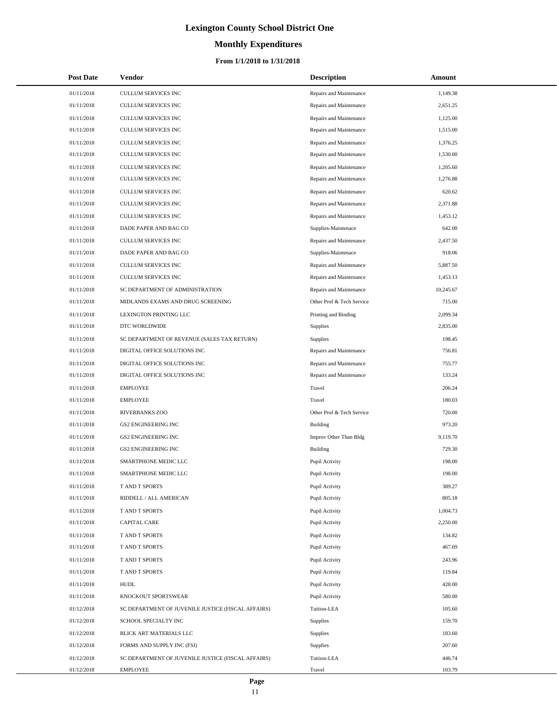# **Monthly Expenditures**

#### **From 1/1/2018 to 1/31/2018**

| <b>Post Date</b> | Vendor                                             | <b>Description</b>        | Amount    |
|------------------|----------------------------------------------------|---------------------------|-----------|
| 01/11/2018       | CULLUM SERVICES INC                                | Repairs and Maintenance   | 1,149.38  |
| 01/11/2018       | <b>CULLUM SERVICES INC</b>                         | Repairs and Maintenance   | 2,651.25  |
| 01/11/2018       | CULLUM SERVICES INC                                | Repairs and Maintenance   | 1,125.00  |
| 01/11/2018       | CULLUM SERVICES INC                                | Repairs and Maintenance   | 1,515.00  |
| 01/11/2018       | CULLUM SERVICES INC                                | Repairs and Maintenance   | 1,376.25  |
| 01/11/2018       | CULLUM SERVICES INC                                | Repairs and Maintenance   | 1,530.00  |
| 01/11/2018       | CULLUM SERVICES INC                                | Repairs and Maintenance   | 1,205.60  |
| 01/11/2018       | CULLUM SERVICES INC                                | Repairs and Maintenance   | 1,276.88  |
| 01/11/2018       | <b>CULLUM SERVICES INC</b>                         | Repairs and Maintenance   | 620.62    |
| 01/11/2018       | CULLUM SERVICES INC                                | Repairs and Maintenance   | 2,371.88  |
| 01/11/2018       | CULLUM SERVICES INC                                | Repairs and Maintenance   | 1,453.12  |
| 01/11/2018       | DADE PAPER AND BAG CO                              | Supplies-Maintenace       | 642.00    |
| 01/11/2018       | <b>CULLUM SERVICES INC</b>                         | Repairs and Maintenance   | 2,437.50  |
| 01/11/2018       | DADE PAPER AND BAG CO                              | Supplies-Maintenace       | 918.06    |
| 01/11/2018       | <b>CULLUM SERVICES INC</b>                         | Repairs and Maintenance   | 5,887.50  |
| 01/11/2018       | CULLUM SERVICES INC                                | Repairs and Maintenance   | 1,453.13  |
| 01/11/2018       | SC DEPARTMENT OF ADMINISTRATION                    | Repairs and Maintenance   | 10,245.67 |
| 01/11/2018       | MIDLANDS EXAMS AND DRUG SCREENING                  | Other Prof & Tech Service | 715.00    |
| 01/11/2018       | LEXINGTON PRINTING LLC                             | Printing and Binding      | 2,099.34  |
| 01/11/2018       | DTC WORLDWIDE                                      | Supplies                  | 2,835.00  |
| 01/11/2018       | SC DEPARTMENT OF REVENUE (SALES TAX RETURN)        | <b>Supplies</b>           | 198.45    |
| 01/11/2018       | DIGITAL OFFICE SOLUTIONS INC                       | Repairs and Maintenance   | 756.81    |
| 01/11/2018       | DIGITAL OFFICE SOLUTIONS INC                       | Repairs and Maintenance   | 755.77    |
| 01/11/2018       | DIGITAL OFFICE SOLUTIONS INC                       | Repairs and Maintenance   | 133.24    |
| 01/11/2018       | <b>EMPLOYEE</b>                                    | Travel                    | 206.24    |
| 01/11/2018       | <b>EMPLOYEE</b>                                    | Travel                    | 180.03    |
| 01/11/2018       | RIVERBANKS ZOO                                     | Other Prof & Tech Service | 720.00    |
| 01/11/2018       | <b>GS2 ENGINEERING INC</b>                         | Building                  | 973.20    |
| 01/11/2018       | <b>GS2 ENGINEERING INC</b>                         | Improv Other Than Bldg    | 9,119.70  |
| 01/11/2018       | <b>GS2 ENGINEERING INC</b>                         | Building                  | 729.30    |
| 01/11/2018       | SMARTPHONE MEDIC LLC                               | Pupil Activity            | 198.00    |
| 01/11/2018       | SMARTPHONE MEDIC LLC                               | Pupil Activity            | 198.00    |
| 01/11/2018       | T AND T SPORTS                                     | Pupil Activity            | 389.27    |
| 01/11/2018       | RIDDELL / ALL AMERICAN                             | Pupil Activity            | 805.18    |
| 01/11/2018       | T AND T SPORTS                                     | Pupil Activity            | 1,004.73  |
| 01/11/2018       | <b>CAPITAL CARE</b>                                | Pupil Activity            | 2,250.00  |
| 01/11/2018       | T AND T SPORTS                                     | Pupil Activity            | 134.82    |
| 01/11/2018       | T AND T SPORTS                                     | Pupil Activity            | 467.69    |
| 01/11/2018       | T AND T SPORTS                                     | Pupil Activity            | 243.96    |
| 01/11/2018       | T AND T SPORTS                                     | Pupil Activity            | 119.84    |
| 01/11/2018       | <b>HUDL</b>                                        | Pupil Activity            | 428.00    |
| 01/11/2018       | KNOCKOUT SPORTSWEAR                                | Pupil Activity            | 580.00    |
| 01/12/2018       | SC DEPARTMENT OF JUVENILE JUSTICE (FISCAL AFFAIRS) | Tuition-LEA               | 105.60    |
| 01/12/2018       | SCHOOL SPECIALTY INC                               | Supplies                  | 159.70    |
| 01/12/2018       | BLICK ART MATERIALS LLC                            | Supplies                  | 183.60    |
| 01/12/2018       | FORMS AND SUPPLY INC (FSI)                         | <b>Supplies</b>           | 207.60    |
| 01/12/2018       | SC DEPARTMENT OF JUVENILE JUSTICE (FISCAL AFFAIRS) | Tuition-LEA               | 446.74    |
| 01/12/2018       | EMPLOYEE                                           | Travel                    | 103.79    |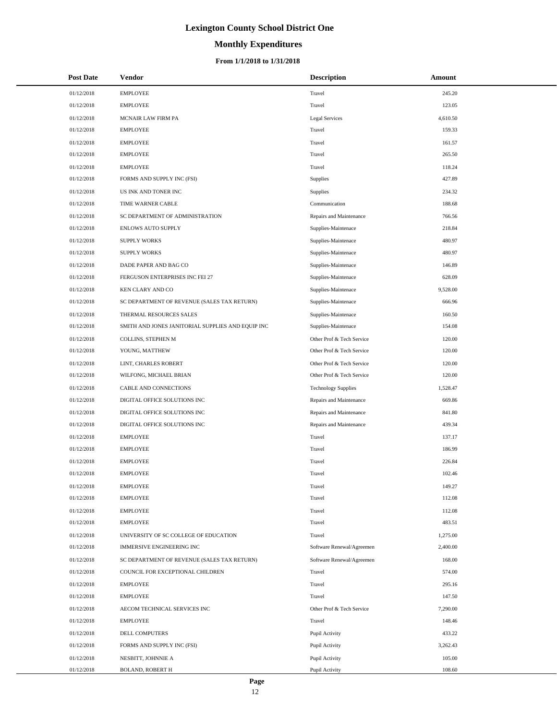# **Monthly Expenditures**

#### **From 1/1/2018 to 1/31/2018**

| <b>Post Date</b> | Vendor                                            | <b>Description</b>         | Amount   |
|------------------|---------------------------------------------------|----------------------------|----------|
| 01/12/2018       | <b>EMPLOYEE</b>                                   | Travel                     | 245.20   |
| 01/12/2018       | <b>EMPLOYEE</b>                                   | Travel                     | 123.05   |
| 01/12/2018       | MCNAIR LAW FIRM PA                                | <b>Legal Services</b>      | 4,610.50 |
| 01/12/2018       | <b>EMPLOYEE</b>                                   | Travel                     | 159.33   |
| 01/12/2018       | <b>EMPLOYEE</b>                                   | Travel                     | 161.57   |
| 01/12/2018       | <b>EMPLOYEE</b>                                   | Travel                     | 265.50   |
| 01/12/2018       | <b>EMPLOYEE</b>                                   | Travel                     | 118.24   |
| 01/12/2018       | FORMS AND SUPPLY INC (FSI)                        | Supplies                   | 427.89   |
| 01/12/2018       | US INK AND TONER INC                              | Supplies                   | 234.32   |
| 01/12/2018       | TIME WARNER CABLE                                 | Communication              | 188.68   |
| 01/12/2018       | SC DEPARTMENT OF ADMINISTRATION                   | Repairs and Maintenance    | 766.56   |
| 01/12/2018       | ENLOWS AUTO SUPPLY                                | Supplies-Maintenace        | 218.84   |
| 01/12/2018       | <b>SUPPLY WORKS</b>                               | Supplies-Maintenace        | 480.97   |
| 01/12/2018       | <b>SUPPLY WORKS</b>                               | Supplies-Maintenace        | 480.97   |
| 01/12/2018       | DADE PAPER AND BAG CO                             | Supplies-Maintenace        | 146.89   |
| 01/12/2018       | FERGUSON ENTERPRISES INC FEI 27                   | Supplies-Maintenace        | 628.09   |
| 01/12/2018       | KEN CLARY AND CO                                  | Supplies-Maintenace        | 9,528.00 |
| 01/12/2018       | SC DEPARTMENT OF REVENUE (SALES TAX RETURN)       | Supplies-Maintenace        | 666.96   |
| 01/12/2018       | THERMAL RESOURCES SALES                           | Supplies-Maintenace        | 160.50   |
| 01/12/2018       | SMITH AND JONES JANITORIAL SUPPLIES AND EQUIP INC | Supplies-Maintenace        | 154.08   |
| 01/12/2018       | COLLINS, STEPHEN M                                | Other Prof & Tech Service  | 120.00   |
| 01/12/2018       | YOUNG, MATTHEW                                    | Other Prof & Tech Service  | 120.00   |
| 01/12/2018       | LINT, CHARLES ROBERT                              | Other Prof & Tech Service  | 120.00   |
| 01/12/2018       | WILFONG, MICHAEL BRIAN                            | Other Prof & Tech Service  | 120.00   |
| 01/12/2018       | CABLE AND CONNECTIONS                             | <b>Technology Supplies</b> | 1,528.47 |
| 01/12/2018       | DIGITAL OFFICE SOLUTIONS INC                      | Repairs and Maintenance    | 669.86   |
| 01/12/2018       | DIGITAL OFFICE SOLUTIONS INC                      | Repairs and Maintenance    | 841.80   |
| 01/12/2018       | DIGITAL OFFICE SOLUTIONS INC                      | Repairs and Maintenance    | 439.34   |
| 01/12/2018       | <b>EMPLOYEE</b>                                   | Travel                     | 137.17   |
| 01/12/2018       | <b>EMPLOYEE</b>                                   | Travel                     | 186.99   |
| 01/12/2018       | <b>EMPLOYEE</b>                                   | Travel                     | 226.84   |
| 01/12/2018       | <b>EMPLOYEE</b>                                   | Travel                     | 102.46   |
| 01/12/2018       | <b>EMPLOYEE</b>                                   | Travel                     | 149.27   |
| 01/12/2018       | <b>EMPLOYEE</b>                                   | Travel                     | 112.08   |
| 01/12/2018       | <b>EMPLOYEE</b>                                   | Travel                     | 112.08   |
| 01/12/2018       | <b>EMPLOYEE</b>                                   | Travel                     | 483.51   |
| 01/12/2018       | UNIVERSITY OF SC COLLEGE OF EDUCATION             | Travel                     | 1,275.00 |
| 01/12/2018       | <b>IMMERSIVE ENGINEERING INC</b>                  | Software Renewal/Agreemen  | 2,400.00 |
| 01/12/2018       | SC DEPARTMENT OF REVENUE (SALES TAX RETURN)       | Software Renewal/Agreemen  | 168.00   |
| 01/12/2018       | COUNCIL FOR EXCEPTIONAL CHILDREN                  | Travel                     | 574.00   |
| 01/12/2018       | <b>EMPLOYEE</b>                                   | Travel                     | 295.16   |
| 01/12/2018       | <b>EMPLOYEE</b>                                   | Travel                     | 147.50   |
| 01/12/2018       | AECOM TECHNICAL SERVICES INC                      | Other Prof & Tech Service  | 7,290.00 |
| 01/12/2018       | <b>EMPLOYEE</b>                                   | Travel                     | 148.46   |
| 01/12/2018       | DELL COMPUTERS                                    | Pupil Activity             | 433.22   |
| 01/12/2018       | FORMS AND SUPPLY INC (FSI)                        | Pupil Activity             | 3,262.43 |
| 01/12/2018       | NESBITT, JOHNNIE A                                | Pupil Activity             | 105.00   |
| 01/12/2018       | <b>BOLAND, ROBERT H</b>                           | Pupil Activity             | 108.60   |

 $\overline{a}$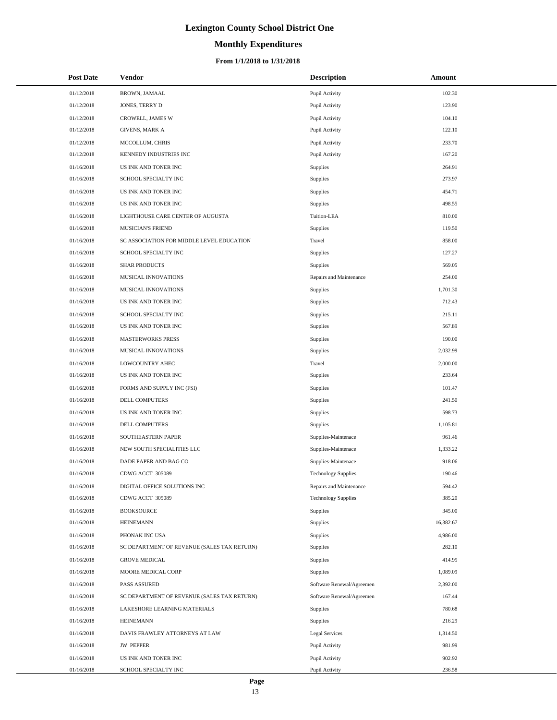# **Monthly Expenditures**

#### **From 1/1/2018 to 1/31/2018**

| <b>Post Date</b> | Vendor                                      | <b>Description</b>         | Amount    |
|------------------|---------------------------------------------|----------------------------|-----------|
| 01/12/2018       | BROWN, JAMAAL                               | Pupil Activity             | 102.30    |
| 01/12/2018       | JONES, TERRY D                              | Pupil Activity             | 123.90    |
| 01/12/2018       | CROWELL, JAMES W                            | Pupil Activity             | 104.10    |
| 01/12/2018       | <b>GIVENS, MARK A</b>                       | Pupil Activity             | 122.10    |
| 01/12/2018       | MCCOLLUM, CHRIS                             | Pupil Activity             | 233.70    |
| 01/12/2018       | KENNEDY INDUSTRIES INC                      | Pupil Activity             | 167.20    |
| 01/16/2018       | US INK AND TONER INC                        | <b>Supplies</b>            | 264.91    |
| 01/16/2018       | SCHOOL SPECIALTY INC                        | Supplies                   | 273.97    |
| 01/16/2018       | US INK AND TONER INC                        | Supplies                   | 454.71    |
| 01/16/2018       | US INK AND TONER INC                        | Supplies                   | 498.55    |
| 01/16/2018       | LIGHTHOUSE CARE CENTER OF AUGUSTA           | Tuition-LEA                | 810.00    |
| 01/16/2018       | MUSICIAN'S FRIEND                           | Supplies                   | 119.50    |
| 01/16/2018       | SC ASSOCIATION FOR MIDDLE LEVEL EDUCATION   | Travel                     | 858.00    |
| 01/16/2018       | SCHOOL SPECIALTY INC                        | Supplies                   | 127.27    |
| 01/16/2018       | <b>SHAR PRODUCTS</b>                        | Supplies                   | 569.05    |
| 01/16/2018       | MUSICAL INNOVATIONS                         | Repairs and Maintenance    | 254.00    |
| 01/16/2018       | MUSICAL INNOVATIONS                         | Supplies                   | 1,701.30  |
| 01/16/2018       | US INK AND TONER INC                        | Supplies                   | 712.43    |
| 01/16/2018       | SCHOOL SPECIALTY INC                        | Supplies                   | 215.11    |
| 01/16/2018       | US INK AND TONER INC                        | Supplies                   | 567.89    |
| 01/16/2018       | <b>MASTERWORKS PRESS</b>                    | Supplies                   | 190.00    |
| 01/16/2018       | MUSICAL INNOVATIONS                         | Supplies                   | 2,032.99  |
| 01/16/2018       | LOWCOUNTRY AHEC                             | Travel                     | 2,000.00  |
| 01/16/2018       | US INK AND TONER INC                        | Supplies                   | 233.64    |
| 01/16/2018       | FORMS AND SUPPLY INC (FSI)                  | Supplies                   | 101.47    |
| 01/16/2018       | DELL COMPUTERS                              | Supplies                   | 241.50    |
| 01/16/2018       | US INK AND TONER INC                        | Supplies                   | 598.73    |
| 01/16/2018       | DELL COMPUTERS                              | Supplies                   | 1,105.81  |
| 01/16/2018       | SOUTHEASTERN PAPER                          | Supplies-Maintenace        | 961.46    |
| 01/16/2018       | NEW SOUTH SPECIALITIES LLC                  | Supplies-Maintenace        | 1,333.22  |
| 01/16/2018       | DADE PAPER AND BAG CO                       | Supplies-Maintenace        | 918.06    |
| 01/16/2018       | CDWG ACCT 305089                            | <b>Technology Supplies</b> | 190.46    |
| 01/16/2018       | DIGITAL OFFICE SOLUTIONS INC                | Repairs and Maintenance    | 594.42    |
| 01/16/2018       | CDWG ACCT 305089                            | <b>Technology Supplies</b> | 385.20    |
| 01/16/2018       | <b>BOOKSOURCE</b>                           | Supplies                   | 345.00    |
| 01/16/2018       | <b>HEINEMANN</b>                            | Supplies                   | 16,382.67 |
| 01/16/2018       | PHONAK INC USA                              | <b>Supplies</b>            | 4,986.00  |
| 01/16/2018       | SC DEPARTMENT OF REVENUE (SALES TAX RETURN) | Supplies                   | 282.10    |
| 01/16/2018       | <b>GROVE MEDICAL</b>                        | Supplies                   | 414.95    |
| 01/16/2018       | MOORE MEDICAL CORP                          | <b>Supplies</b>            | 1,089.09  |
| 01/16/2018       | PASS ASSURED                                | Software Renewal/Agreemen  | 2,392.00  |
| 01/16/2018       | SC DEPARTMENT OF REVENUE (SALES TAX RETURN) | Software Renewal/Agreemen  | 167.44    |
| 01/16/2018       | LAKESHORE LEARNING MATERIALS                | <b>Supplies</b>            | 780.68    |
| 01/16/2018       | <b>HEINEMANN</b>                            | <b>Supplies</b>            | 216.29    |
| 01/16/2018       | DAVIS FRAWLEY ATTORNEYS AT LAW              | Legal Services             | 1,314.50  |
| 01/16/2018       | <b>JW PEPPER</b>                            | Pupil Activity             | 981.99    |
| 01/16/2018       | US INK AND TONER INC                        | Pupil Activity             | 902.92    |
| 01/16/2018       | SCHOOL SPECIALTY INC                        | Pupil Activity             | 236.58    |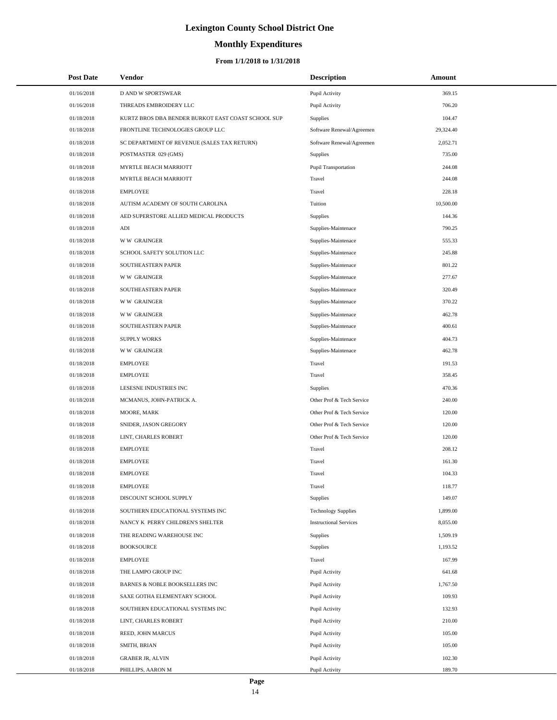# **Monthly Expenditures**

| <b>Post Date</b> | Vendor                                             | <b>Description</b>            | Amount    |
|------------------|----------------------------------------------------|-------------------------------|-----------|
| 01/16/2018       | <b>D AND W SPORTSWEAR</b>                          | Pupil Activity                | 369.15    |
| 01/16/2018       | THREADS EMBROIDERY LLC                             | Pupil Activity                | 706.20    |
| 01/18/2018       | KURTZ BROS DBA BENDER BURKOT EAST COAST SCHOOL SUP | Supplies                      | 104.47    |
| 01/18/2018       | FRONTLINE TECHNOLOGIES GROUP LLC                   | Software Renewal/Agreemen     | 29,324.40 |
| 01/18/2018       | SC DEPARTMENT OF REVENUE (SALES TAX RETURN)        | Software Renewal/Agreemen     | 2,052.71  |
| 01/18/2018       | POSTMASTER 029 (GMS)                               | <b>Supplies</b>               | 735.00    |
| 01/18/2018       | MYRTLE BEACH MARRIOTT                              | Pupil Transportation          | 244.08    |
| 01/18/2018       | MYRTLE BEACH MARRIOTT                              | Travel                        | 244.08    |
| 01/18/2018       | <b>EMPLOYEE</b>                                    | Travel                        | 228.18    |
| 01/18/2018       | AUTISM ACADEMY OF SOUTH CAROLINA                   | Tuition                       | 10,500.00 |
| 01/18/2018       | AED SUPERSTORE ALLIED MEDICAL PRODUCTS             | Supplies                      | 144.36    |
| 01/18/2018       | $\mathbf{A}\mathbf{D}\mathbf{I}$                   | Supplies-Maintenace           | 790.25    |
| 01/18/2018       | <b>WW GRAINGER</b>                                 | Supplies-Maintenace           | 555.33    |
| 01/18/2018       | SCHOOL SAFETY SOLUTION LLC                         | Supplies-Maintenace           | 245.88    |
| 01/18/2018       | SOUTHEASTERN PAPER                                 | Supplies-Maintenace           | 801.22    |
| 01/18/2018       | <b>WW GRAINGER</b>                                 | Supplies-Maintenace           | 277.67    |
| 01/18/2018       | SOUTHEASTERN PAPER                                 | Supplies-Maintenace           | 320.49    |
| 01/18/2018       | <b>WW GRAINGER</b>                                 | Supplies-Maintenace           | 370.22    |
| 01/18/2018       | <b>WW GRAINGER</b>                                 | Supplies-Maintenace           | 462.78    |
| 01/18/2018       | SOUTHEASTERN PAPER                                 | Supplies-Maintenace           | 400.61    |
| 01/18/2018       | <b>SUPPLY WORKS</b>                                | Supplies-Maintenace           | 404.73    |
| 01/18/2018       | <b>WW GRAINGER</b>                                 | Supplies-Maintenace           | 462.78    |
| 01/18/2018       | <b>EMPLOYEE</b>                                    | Travel                        | 191.53    |
| 01/18/2018       | <b>EMPLOYEE</b>                                    | Travel                        | 358.45    |
| 01/18/2018       | LESESNE INDUSTRIES INC                             | Supplies                      | 470.36    |
| 01/18/2018       | MCMANUS, JOHN-PATRICK A.                           | Other Prof & Tech Service     | 240.00    |
| 01/18/2018       | MOORE, MARK                                        | Other Prof & Tech Service     | 120.00    |
| 01/18/2018       | SNIDER, JASON GREGORY                              | Other Prof & Tech Service     | 120.00    |
| 01/18/2018       | LINT, CHARLES ROBERT                               | Other Prof & Tech Service     | 120.00    |
| 01/18/2018       | <b>EMPLOYEE</b>                                    | Travel                        | 208.12    |
| 01/18/2018       | <b>EMPLOYEE</b>                                    | Travel                        | 161.30    |
| 01/18/2018       | <b>EMPLOYEE</b>                                    | Travel                        | 104.33    |
| 01/18/2018       | <b>EMPLOYEE</b>                                    | Travel                        | 118.77    |
| 01/18/2018       | DISCOUNT SCHOOL SUPPLY                             | Supplies                      | 149.07    |
| 01/18/2018       | SOUTHERN EDUCATIONAL SYSTEMS INC                   | <b>Technology Supplies</b>    | 1,899.00  |
| 01/18/2018       | NANCY K PERRY CHILDREN'S SHELTER                   | <b>Instructional Services</b> | 8,055.00  |
| 01/18/2018       | THE READING WAREHOUSE INC                          | <b>Supplies</b>               | 1,509.19  |
| 01/18/2018       | <b>BOOKSOURCE</b>                                  | <b>Supplies</b>               | 1,193.52  |
| 01/18/2018       | <b>EMPLOYEE</b>                                    | Travel                        | 167.99    |
| 01/18/2018       | THE LAMPO GROUP INC                                | Pupil Activity                | 641.68    |
| 01/18/2018       | BARNES & NOBLE BOOKSELLERS INC                     | Pupil Activity                | 1,767.50  |
| 01/18/2018       | SAXE GOTHA ELEMENTARY SCHOOL                       | Pupil Activity                | 109.93    |
| 01/18/2018       | SOUTHERN EDUCATIONAL SYSTEMS INC                   | Pupil Activity                | 132.93    |
| 01/18/2018       | LINT, CHARLES ROBERT                               | Pupil Activity                | 210.00    |
| 01/18/2018       | REED, JOHN MARCUS                                  | Pupil Activity                | 105.00    |
| 01/18/2018       | SMITH, BRIAN                                       | Pupil Activity                | 105.00    |
| 01/18/2018       | <b>GRABER JR, ALVIN</b>                            | Pupil Activity                | 102.30    |
| 01/18/2018       | PHILLIPS, AARON M                                  | Pupil Activity                | 189.70    |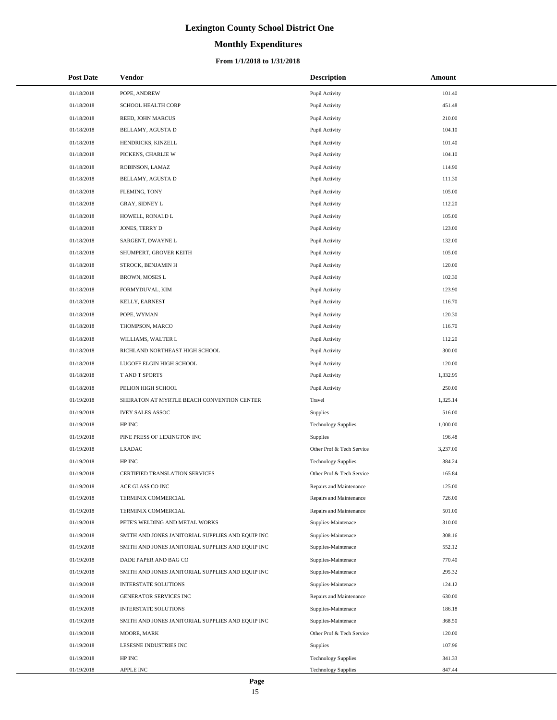# **Monthly Expenditures**

#### **From 1/1/2018 to 1/31/2018**

| <b>Post Date</b>         | Vendor                                                                           | <b>Description</b>                         | Amount           |
|--------------------------|----------------------------------------------------------------------------------|--------------------------------------------|------------------|
| 01/18/2018               | POPE, ANDREW                                                                     | Pupil Activity                             | 101.40           |
| 01/18/2018               | <b>SCHOOL HEALTH CORP</b>                                                        | Pupil Activity                             | 451.48           |
| 01/18/2018               | REED, JOHN MARCUS                                                                | Pupil Activity                             | 210.00           |
| 01/18/2018               | BELLAMY, AGUSTA D                                                                | Pupil Activity                             | 104.10           |
| 01/18/2018               | HENDRICKS, KINZELL                                                               | Pupil Activity                             | 101.40           |
| 01/18/2018               | PICKENS, CHARLIE W                                                               | Pupil Activity                             | 104.10           |
| 01/18/2018               | ROBINSON, LAMAZ                                                                  | Pupil Activity                             | 114.90           |
| 01/18/2018               | BELLAMY, AGUSTA D                                                                | Pupil Activity                             | 111.30           |
| 01/18/2018               | FLEMING, TONY                                                                    | Pupil Activity                             | 105.00           |
| 01/18/2018               | GRAY, SIDNEY L                                                                   | Pupil Activity                             | 112.20           |
| 01/18/2018               | HOWELL, RONALD L                                                                 | Pupil Activity                             | 105.00           |
| 01/18/2018               | JONES, TERRY D                                                                   | Pupil Activity                             | 123.00           |
| 01/18/2018               | SARGENT, DWAYNE L                                                                | Pupil Activity                             | 132.00           |
| 01/18/2018               | SHUMPERT, GROVER KEITH                                                           | Pupil Activity                             | 105.00           |
| 01/18/2018               | STROCK, BENJAMIN H                                                               | Pupil Activity                             | 120.00           |
| 01/18/2018               | <b>BROWN, MOSES L</b>                                                            | Pupil Activity                             | 102.30           |
| 01/18/2018               | FORMYDUVAL, KIM                                                                  | Pupil Activity                             | 123.90           |
| 01/18/2018               | KELLY, EARNEST                                                                   | Pupil Activity                             | 116.70           |
| 01/18/2018               | POPE, WYMAN                                                                      | Pupil Activity                             | 120.30           |
| 01/18/2018               | THOMPSON, MARCO                                                                  | Pupil Activity                             | 116.70           |
| 01/18/2018               | WILLIAMS, WALTER L                                                               | Pupil Activity                             | 112.20           |
| 01/18/2018               | RICHLAND NORTHEAST HIGH SCHOOL                                                   | Pupil Activity                             | 300.00           |
| 01/18/2018               | LUGOFF ELGIN HIGH SCHOOL                                                         | Pupil Activity                             | 120.00           |
| 01/18/2018               | T AND T SPORTS                                                                   | Pupil Activity                             | 1,332.95         |
| 01/18/2018               | PELION HIGH SCHOOL                                                               | Pupil Activity                             | 250.00           |
| 01/19/2018               | SHERATON AT MYRTLE BEACH CONVENTION CENTER                                       | Travel                                     | 1,325.14         |
| 01/19/2018               | <b>IVEY SALES ASSOC</b>                                                          | Supplies                                   | 516.00           |
| 01/19/2018               | HP INC                                                                           | <b>Technology Supplies</b>                 | 1,000.00         |
| 01/19/2018               | PINE PRESS OF LEXINGTON INC                                                      | Supplies                                   | 196.48           |
| 01/19/2018               | <b>LRADAC</b>                                                                    | Other Prof & Tech Service                  | 3,237.00         |
| 01/19/2018               | HP INC                                                                           | <b>Technology Supplies</b>                 | 384.24           |
| 01/19/2018               | <b>CERTIFIED TRANSLATION SERVICES</b>                                            | Other Prof & Tech Service                  | 165.84           |
| 01/19/2018               | ACE GLASS CO INC                                                                 | Repairs and Maintenance                    | 125.00           |
| 01/19/2018               | TERMINIX COMMERCIAL                                                              | Repairs and Maintenance                    | 726.00           |
| 01/19/2018               | TERMINIX COMMERCIAL                                                              | Repairs and Maintenance                    | 501.00           |
| 01/19/2018               | PETE'S WELDING AND METAL WORKS                                                   | Supplies-Maintenace                        | 310.00           |
| 01/19/2018               | SMITH AND JONES JANITORIAL SUPPLIES AND EQUIP INC                                | Supplies-Maintenace                        | 308.16           |
| 01/19/2018               | SMITH AND JONES JANITORIAL SUPPLIES AND EQUIP INC                                | Supplies-Maintenace                        | 552.12           |
| 01/19/2018               | DADE PAPER AND BAG CO                                                            | Supplies-Maintenace                        | 770.40           |
| 01/19/2018               | SMITH AND JONES JANITORIAL SUPPLIES AND EQUIP INC                                | Supplies-Maintenace                        | 295.32           |
| 01/19/2018<br>01/19/2018 | <b>INTERSTATE SOLUTIONS</b>                                                      | Supplies-Maintenace                        | 124.12<br>630.00 |
|                          | GENERATOR SERVICES INC                                                           | Repairs and Maintenance                    |                  |
| 01/19/2018<br>01/19/2018 | <b>INTERSTATE SOLUTIONS</b><br>SMITH AND JONES JANITORIAL SUPPLIES AND EQUIP INC | Supplies-Maintenace<br>Supplies-Maintenace | 186.18<br>368.50 |
| 01/19/2018               | MOORE, MARK                                                                      | Other Prof & Tech Service                  | 120.00           |
| 01/19/2018               | LESESNE INDUSTRIES INC                                                           | Supplies                                   | 107.96           |
| 01/19/2018               | HP INC                                                                           | <b>Technology Supplies</b>                 | 341.33           |
| 01/19/2018               | APPLE INC                                                                        | <b>Technology Supplies</b>                 | 847.44           |
|                          |                                                                                  |                                            |                  |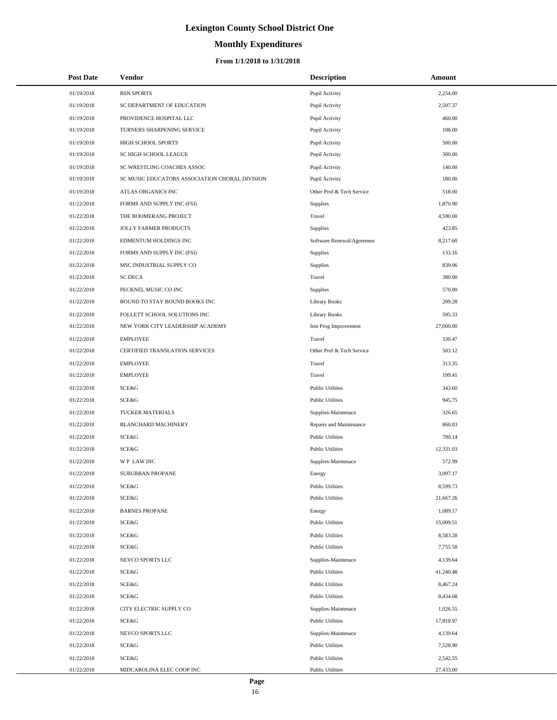# **Monthly Expenditures**

#### **From 1/1/2018 to 1/31/2018**

| <b>Post Date</b> | Vendor                                         | <b>Description</b>        | Amount    |
|------------------|------------------------------------------------|---------------------------|-----------|
| 01/19/2018       | <b>BSN SPORTS</b>                              | Pupil Activity            | 2,254.00  |
| 01/19/2018       | SC DEPARTMENT OF EDUCATION                     | Pupil Activity            | 2,507.37  |
| 01/19/2018       | PROVIDENCE HOSPITAL LLC                        | Pupil Activity            | 460.00    |
| 01/19/2018       | TURNERS SHARPENING SERVICE                     | Pupil Activity            | 108.00    |
| 01/19/2018       | HIGH SCHOOL SPORTS                             | Pupil Activity            | 500.00    |
| 01/19/2018       | SC HIGH SCHOOL LEAGUE                          | Pupil Activity            | 300.00    |
| 01/19/2018       | SC WRESTLING COACHES ASSOC                     | Pupil Activity            | 140.00    |
| 01/19/2018       | SC MUSIC EDUCATORS ASSOCIATION CHORAL DIVISION | Pupil Activity            | 180.00    |
| 01/19/2018       | ATLAS ORGANICS INC                             | Other Prof & Tech Service | 518.00    |
| 01/22/2018       | FORMS AND SUPPLY INC (FSI)                     | Supplies                  | 1,870.90  |
| 01/22/2018       | THE BOOMERANG PROJECT                          | Travel                    | 4,590.00  |
| 01/22/2018       | JOLLY FARMER PRODUCTS                          | Supplies                  | 423.85    |
| 01/22/2018       | EDMENTUM HOLDINGS INC                          | Software Renewal/Agreemen | 8,217.60  |
| 01/22/2018       | FORMS AND SUPPLY INC (FSI)                     | Supplies                  | 133.16    |
| 01/22/2018       | MSC INDUSTRIAL SUPPLY CO                       | <b>Supplies</b>           | 839.06    |
| 01/22/2018       | <b>SC DECA</b>                                 | Travel                    | 380.00    |
| 01/22/2018       | PECKNEL MUSIC CO INC                           | Supplies                  | 570.00    |
| 01/22/2018       | BOUND TO STAY BOUND BOOKS INC                  | <b>Library Books</b>      | 209.28    |
| 01/22/2018       | FOLLETT SCHOOL SOLUTIONS INC                   | <b>Library Books</b>      | 595.33    |
| 01/22/2018       | NEW YORK CITY LEADERSHIP ACADEMY               | Inst Prog Improvement     | 27,000.00 |
| 01/22/2018       | <b>EMPLOYEE</b>                                | Travel                    | 330.47    |
| 01/22/2018       | CERTIFIED TRANSLATION SERVICES                 | Other Prof & Tech Service | 503.12    |
| 01/22/2018       | <b>EMPLOYEE</b>                                | Travel                    | 313.35    |
| 01/22/2018       | <b>EMPLOYEE</b>                                | Travel                    | 199.41    |
| 01/22/2018       | SCE&G                                          | <b>Public Utilities</b>   | 343.60    |
| 01/22/2018       | SCE&G                                          | <b>Public Utilities</b>   | 945.75    |
| 01/22/2018       | TUCKER MATERIALS                               | Supplies-Maintenace       | 326.65    |
| 01/22/2018       | <b>BLANCHARD MACHINERY</b>                     | Repairs and Maintenance   | 860.83    |
| 01/22/2018       | <b>SCE&amp;G</b>                               | <b>Public Utilities</b>   | 780.14    |
| 01/22/2018       | <b>SCE&amp;G</b>                               | <b>Public Utilities</b>   | 12,331.03 |
| 01/22/2018       | WP LAW INC                                     | Supplies-Maintenace       | 572.99    |
| 01/22/2018       | <b>SUBURBAN PROPANE</b>                        | Energy                    | 3,097.17  |
| 01/22/2018       | SCE&G                                          | <b>Public Utilities</b>   | 8,599.73  |
| 01/22/2018       | <b>SCE&amp;G</b>                               | <b>Public Utilities</b>   | 21,667.26 |
| 01/22/2018       | <b>BARNES PROPANE</b>                          | Energy                    | 1,089.17  |
| 01/22/2018       | <b>SCE&amp;G</b>                               | <b>Public Utilities</b>   | 15,009.51 |
| 01/22/2018       | SCE&G                                          | <b>Public Utilities</b>   | 8,583.28  |
| 01/22/2018       | SCE&G                                          | <b>Public Utilities</b>   | 7,755.58  |
| 01/22/2018       | NEVCO SPORTS LLC                               | Supplies-Maintenace       | 4,139.64  |
| 01/22/2018       | <b>SCE&amp;G</b>                               | <b>Public Utilities</b>   | 41,240.48 |
| 01/22/2018       | <b>SCE&amp;G</b>                               | <b>Public Utilities</b>   | 8,467.24  |
| 01/22/2018       | <b>SCE&amp;G</b>                               | <b>Public Utilities</b>   | 8,434.68  |
| 01/22/2018       | CITY ELECTRIC SUPPLY CO                        | Supplies-Maintenace       | 1,026.55  |
| 01/22/2018       | <b>SCE&amp;G</b>                               | <b>Public Utilities</b>   | 17,810.97 |
| 01/22/2018       | NEVCO SPORTS LLC                               | Supplies-Maintenace       | 4,139.64  |
| 01/22/2018       | <b>SCE&amp;G</b>                               | <b>Public Utilities</b>   | 7,528.90  |
| 01/22/2018       | <b>SCE&amp;G</b>                               | <b>Public Utilities</b>   | 2,542.55  |
| 01/22/2018       | MIDCAROLINA ELEC COOP INC                      | <b>Public Utilities</b>   | 27,433.00 |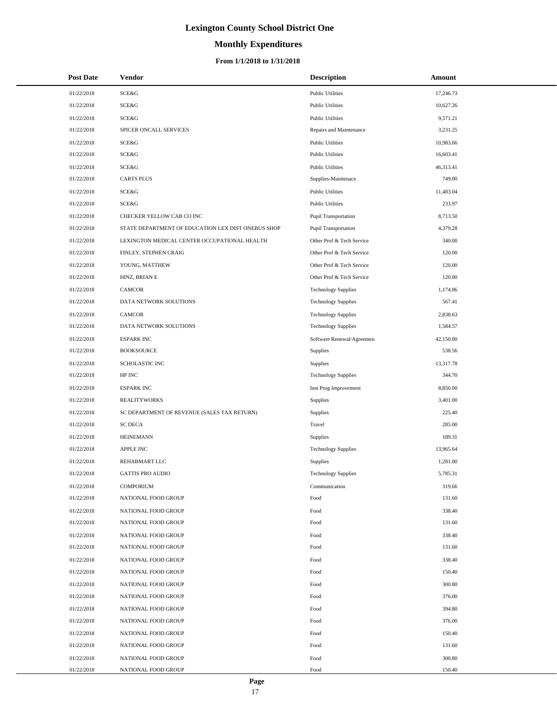# **Monthly Expenditures**

#### **From 1/1/2018 to 1/31/2018**

| <b>Post Date</b> | Vendor                                             | <b>Description</b>         | Amount    |
|------------------|----------------------------------------------------|----------------------------|-----------|
| 01/22/2018       | <b>SCE&amp;G</b>                                   | <b>Public Utilities</b>    | 17,246.73 |
| 01/22/2018       | SCE&G                                              | <b>Public Utilities</b>    | 10,627.26 |
| 01/22/2018       | <b>SCE&amp;G</b>                                   | <b>Public Utilities</b>    | 9,571.21  |
| 01/22/2018       | SPICER ONCALL SERVICES                             | Repairs and Maintenance    | 3,231.25  |
| 01/22/2018       | <b>SCE&amp;G</b>                                   | <b>Public Utilities</b>    | 10,983.66 |
| 01/22/2018       | SCE&G                                              | <b>Public Utilities</b>    | 16,603.41 |
| 01/22/2018       | SCE&G                                              | <b>Public Utilities</b>    | 46,313.41 |
| 01/22/2018       | <b>CARTS PLUS</b>                                  | Supplies-Maintenace        | 749.00    |
| 01/22/2018       | <b>SCE&amp;G</b>                                   | <b>Public Utilities</b>    | 11,483.04 |
| 01/22/2018       | SCE&G                                              | <b>Public Utilities</b>    | 233.97    |
| 01/22/2018       | CHECKER YELLOW CAB CO INC                          | Pupil Transportation       | 8,713.50  |
| 01/22/2018       | STATE DEPARTMENT OF EDUCATION LEX DIST ONEBUS SHOP | Pupil Transportation       | 4,379.28  |
| 01/22/2018       | LEXINGTON MEDICAL CENTER OCCUPATIONAL HEALTH       | Other Prof & Tech Service  | 340.00    |
| 01/22/2018       | FINLEY, STEPHEN CRAIG                              | Other Prof & Tech Service  | 120.00    |
| 01/22/2018       | YOUNG, MATTHEW                                     | Other Prof & Tech Service  | 120.00    |
| 01/22/2018       | HINZ, BRIAN E                                      | Other Prof & Tech Service  | 120.00    |
| 01/22/2018       | CAMCOR                                             | <b>Technology Supplies</b> | 1,174.86  |
| 01/22/2018       | DATA NETWORK SOLUTIONS                             | <b>Technology Supplies</b> | 567.41    |
| 01/22/2018       | CAMCOR                                             | <b>Technology Supplies</b> | 2,838.63  |
| 01/22/2018       | DATA NETWORK SOLUTIONS                             | <b>Technology Supplies</b> | 1,584.57  |
| 01/22/2018       | <b>ESPARK INC</b>                                  | Software Renewal/Agreemen  | 42,150.00 |
| 01/22/2018       | <b>BOOKSOURCE</b>                                  | Supplies                   | 538.56    |
| 01/22/2018       | SCHOLASTIC INC                                     | Supplies                   | 13,317.78 |
| 01/22/2018       | HP INC                                             | <b>Technology Supplies</b> | 344.70    |
| 01/22/2018       | <b>ESPARK INC</b>                                  | Inst Prog Improvement      | 8,850.00  |
| 01/22/2018       | <b>REALITYWORKS</b>                                | Supplies                   | 3,401.00  |
| 01/22/2018       | SC DEPARTMENT OF REVENUE (SALES TAX RETURN)        | Supplies                   | 225.40    |
| 01/22/2018       | <b>SC DECA</b>                                     | Travel                     | 285.00    |
| 01/22/2018       | <b>HEINEMANN</b>                                   | Supplies                   | 189.31    |
| 01/22/2018       | <b>APPLE INC</b>                                   | <b>Technology Supplies</b> | 13,965.64 |
| 01/22/2018       | REHABMART LLC                                      | Supplies                   | 1,281.00  |
| 01/22/2018       | <b>GATTIS PRO AUDIO</b>                            | <b>Technology Supplies</b> | 5,785.31  |
| 01/22/2018       | <b>COMPORIUM</b>                                   | Communication              | 319.66    |
| 01/22/2018       | NATIONAL FOOD GROUP                                | Food                       | 131.60    |
| 01/22/2018       | NATIONAL FOOD GROUP                                | Food                       | 338.40    |
| 01/22/2018       | NATIONAL FOOD GROUP                                | Food                       | 131.60    |
| 01/22/2018       | NATIONAL FOOD GROUP                                | Food                       | 338.40    |
| 01/22/2018       | NATIONAL FOOD GROUP                                | Food                       | 131.60    |
| 01/22/2018       | NATIONAL FOOD GROUP                                | Food                       | 338.40    |
| 01/22/2018       | NATIONAL FOOD GROUP                                | Food                       | 150.40    |
| 01/22/2018       | NATIONAL FOOD GROUP                                | Food                       | 300.80    |
| 01/22/2018       | NATIONAL FOOD GROUP                                | Food                       | 376.00    |
| 01/22/2018       | NATIONAL FOOD GROUP                                | Food                       | 394.80    |
| 01/22/2018       | NATIONAL FOOD GROUP                                | Food                       | 376.00    |
| 01/22/2018       | NATIONAL FOOD GROUP                                | Food                       | 150.40    |
| 01/22/2018       | NATIONAL FOOD GROUP                                | Food                       | 131.60    |
| 01/22/2018       | NATIONAL FOOD GROUP                                | Food                       | 300.80    |
| 01/22/2018       | NATIONAL FOOD GROUP                                | Food                       | 150.40    |

 $\overline{a}$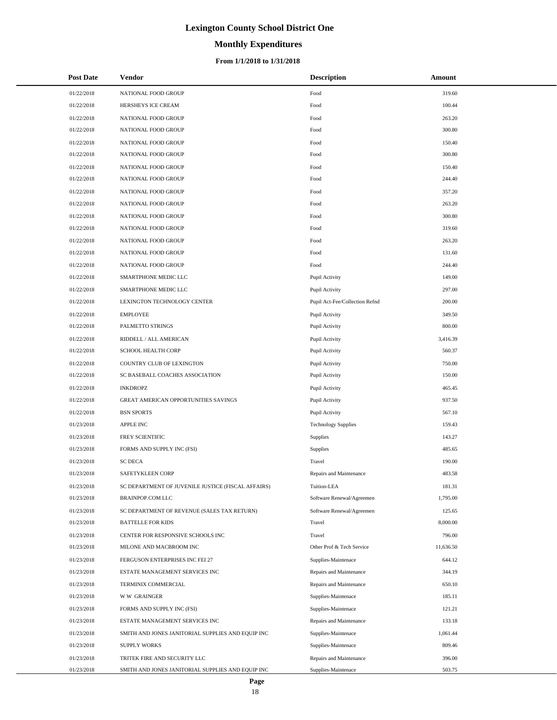# **Monthly Expenditures**

| <b>Post Date</b>         | Vendor                                                                            | Description                                    | Amount           |
|--------------------------|-----------------------------------------------------------------------------------|------------------------------------------------|------------------|
| 01/22/2018               | NATIONAL FOOD GROUP                                                               | Food                                           | 319.60           |
| 01/22/2018               | HERSHEYS ICE CREAM                                                                | Food                                           | 100.44           |
| 01/22/2018               | NATIONAL FOOD GROUP                                                               | Food                                           | 263.20           |
| 01/22/2018               | NATIONAL FOOD GROUP                                                               | Food                                           | 300.80           |
| 01/22/2018               | NATIONAL FOOD GROUP                                                               | Food                                           | 150.40           |
| 01/22/2018               | NATIONAL FOOD GROUP                                                               | Food                                           | 300.80           |
| 01/22/2018               | NATIONAL FOOD GROUP                                                               | Food                                           | 150.40           |
| 01/22/2018               | NATIONAL FOOD GROUP                                                               | Food                                           | 244.40           |
| 01/22/2018               | NATIONAL FOOD GROUP                                                               | Food                                           | 357.20           |
| 01/22/2018               | NATIONAL FOOD GROUP                                                               | Food                                           | 263.20           |
| 01/22/2018               | NATIONAL FOOD GROUP                                                               | Food                                           | 300.80           |
| 01/22/2018               | NATIONAL FOOD GROUP                                                               | Food                                           | 319.60           |
| 01/22/2018               | NATIONAL FOOD GROUP                                                               | Food                                           | 263.20           |
| 01/22/2018               | NATIONAL FOOD GROUP                                                               | Food                                           | 131.60           |
| 01/22/2018               | NATIONAL FOOD GROUP                                                               | Food                                           | 244.40           |
| 01/22/2018               | SMARTPHONE MEDIC LLC                                                              | Pupil Activity                                 | 149.00           |
| 01/22/2018               | SMARTPHONE MEDIC LLC                                                              | Pupil Activity                                 | 297.00           |
| 01/22/2018               | LEXINGTON TECHNOLOGY CENTER                                                       | Pupil Act-Fee/Collection Refnd                 | 200.00           |
| 01/22/2018               | <b>EMPLOYEE</b>                                                                   | Pupil Activity                                 | 349.50           |
| 01/22/2018               | PALMETTO STRINGS                                                                  | Pupil Activity                                 | 800.00           |
| 01/22/2018               | RIDDELL / ALL AMERICAN                                                            | Pupil Activity                                 | 3,416.39         |
| 01/22/2018               | SCHOOL HEALTH CORP                                                                | Pupil Activity                                 | 560.37           |
| 01/22/2018               | COUNTRY CLUB OF LEXINGTON                                                         | Pupil Activity                                 | 750.00           |
| 01/22/2018               | SC BASEBALL COACHES ASSOCIATION                                                   | Pupil Activity                                 | 150.00           |
| 01/22/2018               | <b>INKDROPZ</b>                                                                   | Pupil Activity                                 | 465.45           |
| 01/22/2018               | GREAT AMERICAN OPPORTUNITIES SAVINGS                                              | Pupil Activity                                 | 937.50           |
| 01/22/2018               | <b>BSN SPORTS</b>                                                                 | Pupil Activity                                 | 567.10           |
| 01/23/2018               | <b>APPLE INC</b>                                                                  | <b>Technology Supplies</b>                     | 159.43           |
| 01/23/2018               | FREY SCIENTIFIC                                                                   | Supplies                                       | 143.27           |
| 01/23/2018               | FORMS AND SUPPLY INC (FSI)                                                        | Supplies                                       | 485.65           |
| 01/23/2018               | <b>SC DECA</b>                                                                    | Travel                                         | 190.00           |
| 01/23/2018               | SAFETYKLEEN CORP                                                                  | Repairs and Maintenance                        | 483.58           |
| 01/23/2018               | SC DEPARTMENT OF JUVENILE JUSTICE (FISCAL AFFAIRS)                                | Tuition-LEA                                    | 181.31           |
| 01/23/2018               | <b>BRAINPOP.COM LLC</b>                                                           | Software Renewal/Agreemen                      | 1,795.00         |
| 01/23/2018               | SC DEPARTMENT OF REVENUE (SALES TAX RETURN)                                       | Software Renewal/Agreemen                      | 125.65           |
| 01/23/2018               | <b>BATTELLE FOR KIDS</b>                                                          | Travel                                         | 8,000.00         |
| 01/23/2018               | CENTER FOR RESPONSIVE SCHOOLS INC                                                 | Travel                                         | 796.00           |
| 01/23/2018               | MILONE AND MACBROOM INC                                                           | Other Prof & Tech Service                      | 11,636.50        |
| 01/23/2018               | FERGUSON ENTERPRISES INC FEI 27                                                   | Supplies-Maintenace                            | 644.12           |
| 01/23/2018               | ESTATE MANAGEMENT SERVICES INC                                                    | Repairs and Maintenance                        | 344.19           |
| 01/23/2018               | TERMINIX COMMERCIAL                                                               | Repairs and Maintenance                        | 650.10           |
| 01/23/2018               | <b>WW GRAINGER</b>                                                                | Supplies-Maintenace                            | 185.11           |
| 01/23/2018               | FORMS AND SUPPLY INC (FSI)                                                        | Supplies-Maintenace                            | 121.21           |
| 01/23/2018               | ESTATE MANAGEMENT SERVICES INC                                                    | Repairs and Maintenance                        | 133.18           |
| 01/23/2018               | SMITH AND JONES JANITORIAL SUPPLIES AND EQUIP INC                                 | Supplies-Maintenace                            | 1,061.44         |
| 01/23/2018               | <b>SUPPLY WORKS</b>                                                               | Supplies-Maintenace                            | 809.46           |
| 01/23/2018<br>01/23/2018 | TRITEK FIRE AND SECURITY LLC<br>SMITH AND JONES JANITORIAL SUPPLIES AND EQUIP INC | Repairs and Maintenance<br>Supplies-Maintenace | 396.00<br>503.75 |
|                          |                                                                                   |                                                |                  |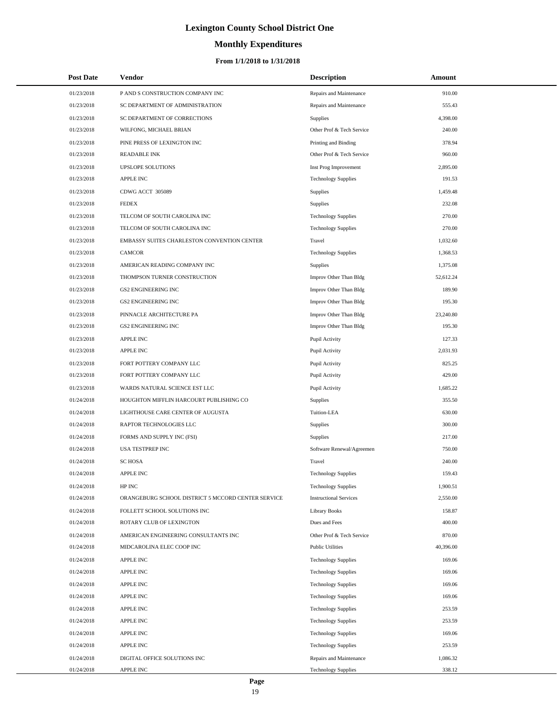# **Monthly Expenditures**

| <b>Post Date</b> | Vendor                                             | <b>Description</b>            | Amount    |  |
|------------------|----------------------------------------------------|-------------------------------|-----------|--|
| 01/23/2018       | P AND S CONSTRUCTION COMPANY INC                   | Repairs and Maintenance       | 910.00    |  |
| 01/23/2018       | SC DEPARTMENT OF ADMINISTRATION                    | Repairs and Maintenance       | 555.43    |  |
| 01/23/2018       | SC DEPARTMENT OF CORRECTIONS                       | Supplies                      | 4,398.00  |  |
| 01/23/2018       | WILFONG, MICHAEL BRIAN                             | Other Prof & Tech Service     | 240.00    |  |
| 01/23/2018       | PINE PRESS OF LEXINGTON INC                        | Printing and Binding          | 378.94    |  |
| 01/23/2018       | <b>READABLE INK</b>                                | Other Prof & Tech Service     | 960.00    |  |
| 01/23/2018       | UPSLOPE SOLUTIONS                                  | Inst Prog Improvement         | 2,895.00  |  |
| 01/23/2018       | <b>APPLE INC</b>                                   | <b>Technology Supplies</b>    | 191.53    |  |
| 01/23/2018       | CDWG ACCT 305089                                   | Supplies                      | 1,459.48  |  |
| 01/23/2018       | <b>FEDEX</b>                                       | Supplies                      | 232.08    |  |
| 01/23/2018       | TELCOM OF SOUTH CAROLINA INC                       | <b>Technology Supplies</b>    | 270.00    |  |
| 01/23/2018       | TELCOM OF SOUTH CAROLINA INC                       | <b>Technology Supplies</b>    | 270.00    |  |
| 01/23/2018       | EMBASSY SUITES CHARLESTON CONVENTION CENTER        | Travel                        | 1,032.60  |  |
| 01/23/2018       | <b>CAMCOR</b>                                      | <b>Technology Supplies</b>    | 1,368.53  |  |
| 01/23/2018       | AMERICAN READING COMPANY INC                       | Supplies                      | 1,375.08  |  |
| 01/23/2018       | THOMPSON TURNER CONSTRUCTION                       | Improv Other Than Bldg        | 52,612.24 |  |
| 01/23/2018       | <b>GS2 ENGINEERING INC</b>                         | Improv Other Than Bldg        | 189.90    |  |
| 01/23/2018       | <b>GS2 ENGINEERING INC</b>                         | Improv Other Than Bldg        | 195.30    |  |
| 01/23/2018       | PINNACLE ARCHITECTURE PA                           | Improv Other Than Bldg        | 23,240.80 |  |
| 01/23/2018       | <b>GS2 ENGINEERING INC</b>                         | Improv Other Than Bldg        | 195.30    |  |
| 01/23/2018       | <b>APPLE INC</b>                                   | Pupil Activity                | 127.33    |  |
| 01/23/2018       | <b>APPLE INC</b>                                   | Pupil Activity                | 2,031.93  |  |
| 01/23/2018       | FORT POTTERY COMPANY LLC                           | Pupil Activity                | 825.25    |  |
| 01/23/2018       | FORT POTTERY COMPANY LLC                           | Pupil Activity                | 429.00    |  |
| 01/23/2018       | WARDS NATURAL SCIENCE EST LLC                      | Pupil Activity                | 1,685.22  |  |
| 01/24/2018       | HOUGHTON MIFFLIN HARCOURT PUBLISHING CO            | Supplies                      | 355.50    |  |
| 01/24/2018       | LIGHTHOUSE CARE CENTER OF AUGUSTA                  | Tuition-LEA                   | 630.00    |  |
| 01/24/2018       | RAPTOR TECHNOLOGIES LLC                            | Supplies                      | 300.00    |  |
| 01/24/2018       | FORMS AND SUPPLY INC (FSI)                         | <b>Supplies</b>               | 217.00    |  |
| 01/24/2018       | USA TESTPREP INC                                   | Software Renewal/Agreemen     | 750.00    |  |
| 01/24/2018       | <b>SC HOSA</b>                                     | Travel                        | 240.00    |  |
| 01/24/2018       | <b>APPLE INC</b>                                   | <b>Technology Supplies</b>    | 159.43    |  |
| 01/24/2018       | HP INC                                             | <b>Technology Supplies</b>    | 1,900.51  |  |
| 01/24/2018       | ORANGEBURG SCHOOL DISTRICT 5 MCCORD CENTER SERVICE | <b>Instructional Services</b> | 2,550.00  |  |
| 01/24/2018       | FOLLETT SCHOOL SOLUTIONS INC                       | <b>Library Books</b>          | 158.87    |  |
| 01/24/2018       | ROTARY CLUB OF LEXINGTON                           | Dues and Fees                 | 400.00    |  |
| 01/24/2018       | AMERICAN ENGINEERING CONSULTANTS INC               | Other Prof & Tech Service     | 870.00    |  |
| 01/24/2018       | MIDCAROLINA ELEC COOP INC                          | <b>Public Utilities</b>       | 40,396.00 |  |
| 01/24/2018       | <b>APPLE INC</b>                                   | <b>Technology Supplies</b>    | 169.06    |  |
| 01/24/2018       | <b>APPLE INC</b>                                   | <b>Technology Supplies</b>    | 169.06    |  |
| 01/24/2018       | APPLE INC                                          | <b>Technology Supplies</b>    | 169.06    |  |
| 01/24/2018       | <b>APPLE INC</b>                                   | <b>Technology Supplies</b>    | 169.06    |  |
| 01/24/2018       | <b>APPLE INC</b>                                   | <b>Technology Supplies</b>    | 253.59    |  |
| 01/24/2018       | APPLE INC                                          | <b>Technology Supplies</b>    | 253.59    |  |
| 01/24/2018       | <b>APPLE INC</b>                                   | <b>Technology Supplies</b>    | 169.06    |  |
| 01/24/2018       | <b>APPLE INC</b>                                   | <b>Technology Supplies</b>    | 253.59    |  |
| 01/24/2018       | DIGITAL OFFICE SOLUTIONS INC                       | Repairs and Maintenance       | 1,086.32  |  |
| 01/24/2018       | APPLE INC                                          | <b>Technology Supplies</b>    | 338.12    |  |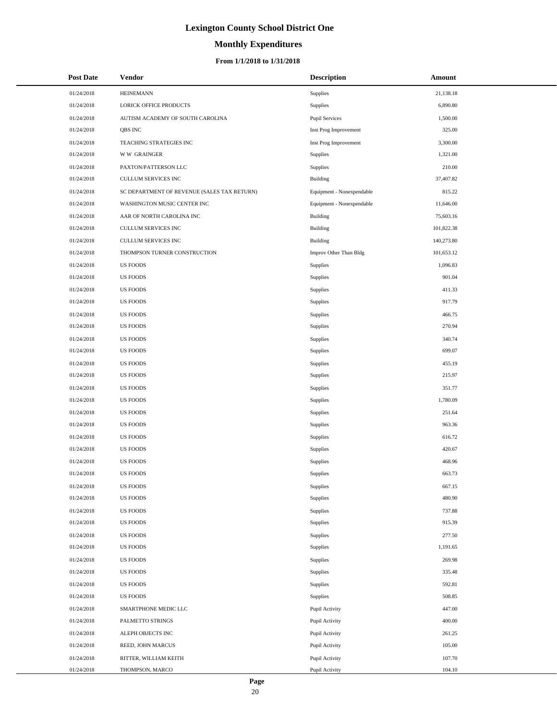# **Monthly Expenditures**

#### **From 1/1/2018 to 1/31/2018**

| <b>Post Date</b> | Vendor                                      | <b>Description</b>        | Amount     |
|------------------|---------------------------------------------|---------------------------|------------|
| 01/24/2018       | <b>HEINEMANN</b>                            | Supplies                  | 21,138.18  |
| 01/24/2018       | LORICK OFFICE PRODUCTS                      | Supplies                  | 6,890.80   |
| 01/24/2018       | AUTISM ACADEMY OF SOUTH CAROLINA            | <b>Pupil Services</b>     | 1,500.00   |
| 01/24/2018       | QBS INC                                     | Inst Prog Improvement     | 325.00     |
| 01/24/2018       | TEACHING STRATEGIES INC                     | Inst Prog Improvement     | 3,300.00   |
| 01/24/2018       | <b>WW GRAINGER</b>                          | Supplies                  | 1,321.00   |
| 01/24/2018       | PAXTON/PATTERSON LLC                        | Supplies                  | 210.00     |
| 01/24/2018       | <b>CULLUM SERVICES INC</b>                  | <b>Building</b>           | 37,407.82  |
| 01/24/2018       | SC DEPARTMENT OF REVENUE (SALES TAX RETURN) | Equipment - Nonexpendable | 815.22     |
| 01/24/2018       | WASHINGTON MUSIC CENTER INC                 | Equipment - Nonexpendable | 11,646.00  |
| 01/24/2018       | AAR OF NORTH CAROLINA INC                   | <b>Building</b>           | 75,603.16  |
| 01/24/2018       | CULLUM SERVICES INC                         | <b>Building</b>           | 101,822.38 |
| 01/24/2018       | CULLUM SERVICES INC                         | <b>Building</b>           | 140,273.80 |
| 01/24/2018       | THOMPSON TURNER CONSTRUCTION                | Improv Other Than Bldg    | 101,653.12 |
| 01/24/2018       | <b>US FOODS</b>                             | Supplies                  | 1,096.83   |
| 01/24/2018       | <b>US FOODS</b>                             | Supplies                  | 901.04     |
| 01/24/2018       | <b>US FOODS</b>                             | <b>Supplies</b>           | 411.33     |
| 01/24/2018       | US FOODS                                    | Supplies                  | 917.79     |
| 01/24/2018       | <b>US FOODS</b>                             | Supplies                  | 466.75     |
| 01/24/2018       | <b>US FOODS</b>                             | Supplies                  | 270.94     |
| 01/24/2018       | <b>US FOODS</b>                             | <b>Supplies</b>           | 340.74     |
| 01/24/2018       | <b>US FOODS</b>                             | Supplies                  | 699.07     |
| 01/24/2018       | <b>US FOODS</b>                             | <b>Supplies</b>           | 455.19     |
| 01/24/2018       | <b>US FOODS</b>                             | <b>Supplies</b>           | 215.97     |
| 01/24/2018       | <b>US FOODS</b>                             | <b>Supplies</b>           | 351.77     |
| 01/24/2018       | US FOODS                                    | Supplies                  | 1,780.09   |
| 01/24/2018       | <b>US FOODS</b>                             | Supplies                  | 251.64     |
| 01/24/2018       | <b>US FOODS</b>                             | Supplies                  | 963.36     |
| 01/24/2018       | <b>US FOODS</b>                             | Supplies                  | 616.72     |
| 01/24/2018       | US FOODS                                    | Supplies                  | 420.67     |
| 01/24/2018       | <b>US FOODS</b>                             | Supplies                  | 468.96     |
| 01/24/2018       | <b>US FOODS</b>                             | Supplies                  | 663.73     |
| 01/24/2018       | <b>US FOODS</b>                             | Supplies                  | 667.15     |
| 01/24/2018       | <b>US FOODS</b>                             | Supplies                  | 480.90     |
| 01/24/2018       | <b>US FOODS</b>                             | <b>Supplies</b>           | 737.88     |
| 01/24/2018       | <b>US FOODS</b>                             | Supplies                  | 915.39     |
| 01/24/2018       | <b>US FOODS</b>                             | Supplies                  | 277.50     |
| 01/24/2018       | US FOODS                                    | <b>Supplies</b>           | 1,191.65   |
| 01/24/2018       | <b>US FOODS</b>                             | <b>Supplies</b>           | 269.98     |
| 01/24/2018       | US FOODS                                    | <b>Supplies</b>           | 335.48     |
| 01/24/2018       | <b>US FOODS</b>                             | Supplies                  | 592.81     |
| 01/24/2018       | <b>US FOODS</b>                             | <b>Supplies</b>           | 508.85     |
| 01/24/2018       | SMARTPHONE MEDIC LLC                        | Pupil Activity            | 447.00     |
| 01/24/2018       | PALMETTO STRINGS                            | Pupil Activity            | 400.00     |
| 01/24/2018       | ALEPH OBJECTS INC                           | Pupil Activity            | 261.25     |
| 01/24/2018       | REED, JOHN MARCUS                           | Pupil Activity            | 105.00     |
| 01/24/2018       | RITTER, WILLIAM KEITH                       | Pupil Activity            | 107.70     |
| 01/24/2018       | THOMPSON, MARCO                             | Pupil Activity            | 104.10     |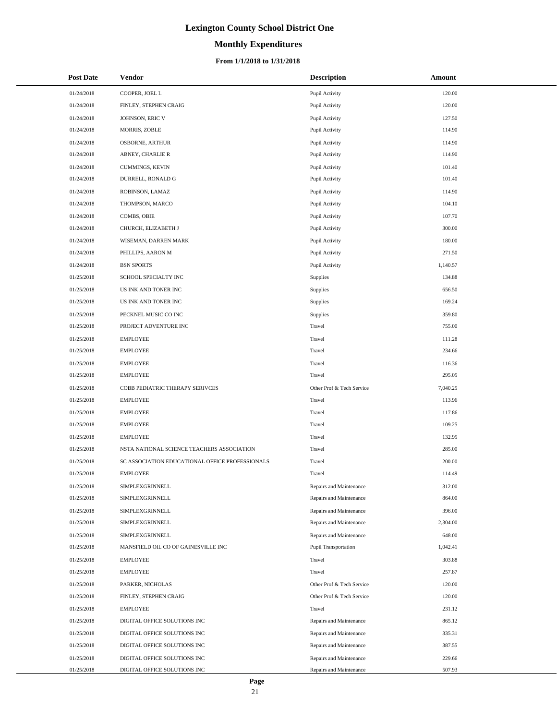# **Monthly Expenditures**

#### **From 1/1/2018 to 1/31/2018**

| <b>Post Date</b> | <b>Vendor</b>                                   | <b>Description</b>          | Amount   |
|------------------|-------------------------------------------------|-----------------------------|----------|
| 01/24/2018       | COOPER, JOEL L                                  | Pupil Activity              | 120.00   |
| 01/24/2018       | FINLEY, STEPHEN CRAIG                           | Pupil Activity              | 120.00   |
| 01/24/2018       | JOHNSON, ERIC V                                 | Pupil Activity              | 127.50   |
| 01/24/2018       | MORRIS, ZOBLE                                   | Pupil Activity              | 114.90   |
| 01/24/2018       | <b>OSBORNE, ARTHUR</b>                          | Pupil Activity              | 114.90   |
| 01/24/2018       | ABNEY, CHARLIE R                                | Pupil Activity              | 114.90   |
| 01/24/2018       | CUMMINGS, KEVIN                                 | Pupil Activity              | 101.40   |
| 01/24/2018       | DURRELL, RONALD G                               | Pupil Activity              | 101.40   |
| 01/24/2018       | ROBINSON, LAMAZ                                 | Pupil Activity              | 114.90   |
| 01/24/2018       | THOMPSON, MARCO                                 | Pupil Activity              | 104.10   |
| 01/24/2018       | COMBS, OBIE                                     | Pupil Activity              | 107.70   |
| 01/24/2018       | CHURCH, ELIZABETH J                             | Pupil Activity              | 300.00   |
| 01/24/2018       | WISEMAN, DARREN MARK                            | Pupil Activity              | 180.00   |
| 01/24/2018       | PHILLIPS, AARON M                               | Pupil Activity              | 271.50   |
| 01/24/2018       | <b>BSN SPORTS</b>                               | Pupil Activity              | 1,140.57 |
| 01/25/2018       | SCHOOL SPECIALTY INC                            | Supplies                    | 134.88   |
| 01/25/2018       | US INK AND TONER INC                            | Supplies                    | 656.50   |
| 01/25/2018       | US INK AND TONER INC                            | Supplies                    | 169.24   |
| 01/25/2018       | PECKNEL MUSIC CO INC                            | Supplies                    | 359.80   |
| 01/25/2018       | PROJECT ADVENTURE INC                           | Travel                      | 755.00   |
| 01/25/2018       | <b>EMPLOYEE</b>                                 | Travel                      | 111.28   |
| 01/25/2018       | <b>EMPLOYEE</b>                                 | Travel                      | 234.66   |
| 01/25/2018       | <b>EMPLOYEE</b>                                 | Travel                      | 116.36   |
| 01/25/2018       | <b>EMPLOYEE</b>                                 | Travel                      | 295.05   |
| 01/25/2018       | COBB PEDIATRIC THERAPY SERIVCES                 | Other Prof & Tech Service   | 7,040.25 |
| 01/25/2018       | <b>EMPLOYEE</b>                                 | Travel                      | 113.96   |
| 01/25/2018       | <b>EMPLOYEE</b>                                 | Travel                      | 117.86   |
| 01/25/2018       | <b>EMPLOYEE</b>                                 | Travel                      | 109.25   |
| 01/25/2018       | <b>EMPLOYEE</b>                                 | Travel                      | 132.95   |
| 01/25/2018       | NSTA NATIONAL SCIENCE TEACHERS ASSOCIATION      | Travel                      | 285.00   |
| 01/25/2018       | SC ASSOCIATION EDUCATIONAL OFFICE PROFESSIONALS | Travel                      | 200.00   |
| 01/25/2018       | <b>EMPLOYEE</b>                                 | Travel                      | 114.49   |
| 01/25/2018       | SIMPLEXGRINNELL                                 | Repairs and Maintenance     | 312.00   |
| 01/25/2018       | SIMPLEXGRINNELL                                 | Repairs and Maintenance     | 864.00   |
| 01/25/2018       | SIMPLEXGRINNELL                                 | Repairs and Maintenance     | 396.00   |
| 01/25/2018       | SIMPLEXGRINNELL                                 | Repairs and Maintenance     | 2,304.00 |
| 01/25/2018       | SIMPLEXGRINNELL                                 | Repairs and Maintenance     | 648.00   |
| 01/25/2018       | MANSFIELD OIL CO OF GAINESVILLE INC             | <b>Pupil Transportation</b> | 1,042.41 |
| 01/25/2018       | <b>EMPLOYEE</b>                                 | Travel                      | 303.88   |
| 01/25/2018       | <b>EMPLOYEE</b>                                 | Travel                      | 257.87   |
| 01/25/2018       | PARKER, NICHOLAS                                | Other Prof & Tech Service   | 120.00   |
| 01/25/2018       | FINLEY, STEPHEN CRAIG                           | Other Prof & Tech Service   | 120.00   |
| 01/25/2018       | <b>EMPLOYEE</b>                                 | Travel                      | 231.12   |
| 01/25/2018       | DIGITAL OFFICE SOLUTIONS INC                    | Repairs and Maintenance     | 865.12   |
| 01/25/2018       | DIGITAL OFFICE SOLUTIONS INC                    | Repairs and Maintenance     | 335.31   |
| 01/25/2018       | DIGITAL OFFICE SOLUTIONS INC                    | Repairs and Maintenance     | 387.55   |
| 01/25/2018       | DIGITAL OFFICE SOLUTIONS INC                    | Repairs and Maintenance     | 229.66   |
| 01/25/2018       | DIGITAL OFFICE SOLUTIONS INC                    | Repairs and Maintenance     | 507.93   |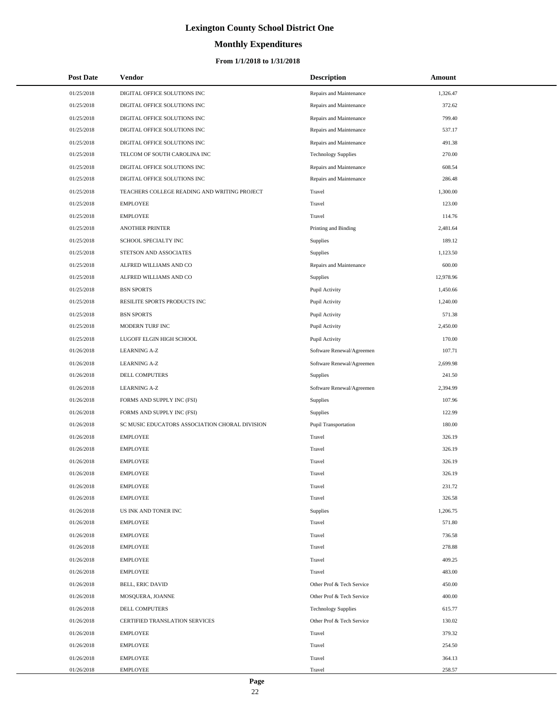# **Monthly Expenditures**

#### **From 1/1/2018 to 1/31/2018**

| <b>Post Date</b> | Vendor                                         | <b>Description</b>         | Amount    |
|------------------|------------------------------------------------|----------------------------|-----------|
| 01/25/2018       | DIGITAL OFFICE SOLUTIONS INC                   | Repairs and Maintenance    | 1,326.47  |
| 01/25/2018       | DIGITAL OFFICE SOLUTIONS INC                   | Repairs and Maintenance    | 372.62    |
| 01/25/2018       | DIGITAL OFFICE SOLUTIONS INC                   | Repairs and Maintenance    | 799.40    |
| 01/25/2018       | DIGITAL OFFICE SOLUTIONS INC                   | Repairs and Maintenance    | 537.17    |
| 01/25/2018       | DIGITAL OFFICE SOLUTIONS INC                   | Repairs and Maintenance    | 491.38    |
| 01/25/2018       | TELCOM OF SOUTH CAROLINA INC                   | <b>Technology Supplies</b> | 270.00    |
| 01/25/2018       | DIGITAL OFFICE SOLUTIONS INC                   | Repairs and Maintenance    | 608.54    |
| 01/25/2018       | DIGITAL OFFICE SOLUTIONS INC                   | Repairs and Maintenance    | 286.48    |
| 01/25/2018       | TEACHERS COLLEGE READING AND WRITING PROJECT   | Travel                     | 1,300.00  |
| 01/25/2018       | <b>EMPLOYEE</b>                                | Travel                     | 123.00    |
| 01/25/2018       | <b>EMPLOYEE</b>                                | Travel                     | 114.76    |
| 01/25/2018       | <b>ANOTHER PRINTER</b>                         | Printing and Binding       | 2,481.64  |
| 01/25/2018       | SCHOOL SPECIALTY INC                           | Supplies                   | 189.12    |
| 01/25/2018       | STETSON AND ASSOCIATES                         | Supplies                   | 1,123.50  |
| 01/25/2018       | ALFRED WILLIAMS AND CO                         | Repairs and Maintenance    | 600.00    |
| 01/25/2018       | ALFRED WILLIAMS AND CO                         | Supplies                   | 12,978.96 |
| 01/25/2018       | <b>BSN SPORTS</b>                              | Pupil Activity             | 1,450.66  |
| 01/25/2018       | RESILITE SPORTS PRODUCTS INC                   | Pupil Activity             | 1,240.00  |
| 01/25/2018       | <b>BSN SPORTS</b>                              | Pupil Activity             | 571.38    |
| 01/25/2018       | MODERN TURF INC                                | Pupil Activity             | 2,450.00  |
| 01/25/2018       | LUGOFF ELGIN HIGH SCHOOL                       | Pupil Activity             | 170.00    |
| 01/26/2018       | <b>LEARNING A-Z</b>                            | Software Renewal/Agreemen  | 107.71    |
| 01/26/2018       | <b>LEARNING A-Z</b>                            | Software Renewal/Agreemen  | 2,699.98  |
| 01/26/2018       | DELL COMPUTERS                                 | Supplies                   | 241.50    |
| 01/26/2018       | <b>LEARNING A-Z</b>                            | Software Renewal/Agreemen  | 2,394.99  |
| 01/26/2018       | FORMS AND SUPPLY INC (FSI)                     | Supplies                   | 107.96    |
| 01/26/2018       | FORMS AND SUPPLY INC (FSI)                     | Supplies                   | 122.99    |
| 01/26/2018       | SC MUSIC EDUCATORS ASSOCIATION CHORAL DIVISION | Pupil Transportation       | 180.00    |
| 01/26/2018       | <b>EMPLOYEE</b>                                | Travel                     | 326.19    |
| 01/26/2018       | <b>EMPLOYEE</b>                                | Travel                     | 326.19    |
| 01/26/2018       | <b>EMPLOYEE</b>                                | Travel                     | 326.19    |
| 01/26/2018       | <b>EMPLOYEE</b>                                | Travel                     | 326.19    |
| 01/26/2018       | EMPLOYEE                                       | Travel                     | 231.72    |
| 01/26/2018       | <b>EMPLOYEE</b>                                | Travel                     | 326.58    |
| 01/26/2018       | US INK AND TONER INC                           | Supplies                   | 1,206.75  |
| 01/26/2018       | EMPLOYEE                                       | Travel                     | 571.80    |
| 01/26/2018       | <b>EMPLOYEE</b>                                | Travel                     | 736.58    |
| 01/26/2018       | EMPLOYEE                                       | Travel                     | 278.88    |
| 01/26/2018       | <b>EMPLOYEE</b>                                | Travel                     | 409.25    |
| 01/26/2018       | <b>EMPLOYEE</b>                                | Travel                     | 483.00    |
| 01/26/2018       | <b>BELL, ERIC DAVID</b>                        | Other Prof & Tech Service  | 450.00    |
| 01/26/2018       | MOSQUERA, JOANNE                               | Other Prof & Tech Service  | 400.00    |
| 01/26/2018       | DELL COMPUTERS                                 | <b>Technology Supplies</b> | 615.77    |
| 01/26/2018       | CERTIFIED TRANSLATION SERVICES                 | Other Prof & Tech Service  | 130.02    |
| 01/26/2018       | <b>EMPLOYEE</b>                                | Travel                     | 379.32    |
| 01/26/2018       | EMPLOYEE                                       | Travel                     | 254.50    |
| 01/26/2018       | EMPLOYEE                                       | Travel                     | 364.13    |
| 01/26/2018       | EMPLOYEE                                       | Travel                     | 258.57    |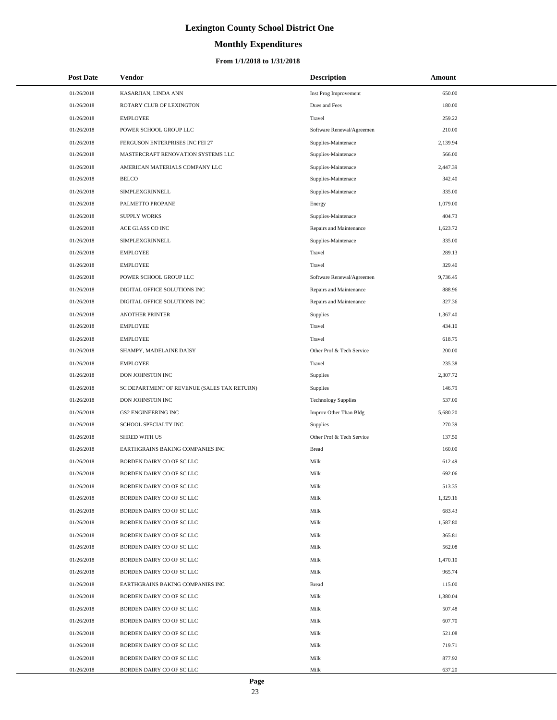# **Monthly Expenditures**

#### **From 1/1/2018 to 1/31/2018**

| <b>Post Date</b> | Vendor                                      | <b>Description</b>         | Amount   |  |
|------------------|---------------------------------------------|----------------------------|----------|--|
| 01/26/2018       | KASARJIAN, LINDA ANN                        | Inst Prog Improvement      | 650.00   |  |
| 01/26/2018       | ROTARY CLUB OF LEXINGTON                    | Dues and Fees              | 180.00   |  |
| 01/26/2018       | <b>EMPLOYEE</b>                             | Travel                     | 259.22   |  |
| 01/26/2018       | POWER SCHOOL GROUP LLC                      | Software Renewal/Agreemen  | 210.00   |  |
| 01/26/2018       | FERGUSON ENTERPRISES INC FEI 27             | Supplies-Maintenace        | 2,139.94 |  |
| 01/26/2018       | MASTERCRAFT RENOVATION SYSTEMS LLC          | Supplies-Maintenace        | 566.00   |  |
| 01/26/2018       | AMERICAN MATERIALS COMPANY LLC              | Supplies-Maintenace        | 2,447.39 |  |
| 01/26/2018       | <b>BELCO</b>                                | Supplies-Maintenace        | 342.40   |  |
| 01/26/2018       | SIMPLEXGRINNELL                             | Supplies-Maintenace        | 335.00   |  |
| 01/26/2018       | PALMETTO PROPANE                            | Energy                     | 1,079.00 |  |
| 01/26/2018       | <b>SUPPLY WORKS</b>                         | Supplies-Maintenace        | 404.73   |  |
| 01/26/2018       | ACE GLASS CO INC                            | Repairs and Maintenance    | 1,623.72 |  |
| 01/26/2018       | SIMPLEXGRINNELL                             | Supplies-Maintenace        | 335.00   |  |
| 01/26/2018       | <b>EMPLOYEE</b>                             | Travel                     | 289.13   |  |
| 01/26/2018       | <b>EMPLOYEE</b>                             | Travel                     | 329.40   |  |
| 01/26/2018       | POWER SCHOOL GROUP LLC                      | Software Renewal/Agreemen  | 9,736.45 |  |
| 01/26/2018       | DIGITAL OFFICE SOLUTIONS INC                | Repairs and Maintenance    | 888.96   |  |
| 01/26/2018       | DIGITAL OFFICE SOLUTIONS INC                | Repairs and Maintenance    | 327.36   |  |
| 01/26/2018       | <b>ANOTHER PRINTER</b>                      | Supplies                   | 1,367.40 |  |
| 01/26/2018       | <b>EMPLOYEE</b>                             | Travel                     | 434.10   |  |
| 01/26/2018       | <b>EMPLOYEE</b>                             | Travel                     | 618.75   |  |
| 01/26/2018       | SHAMPY, MADELAINE DAISY                     | Other Prof & Tech Service  | 200.00   |  |
| 01/26/2018       | <b>EMPLOYEE</b>                             | Travel                     | 235.38   |  |
| 01/26/2018       | DON JOHNSTON INC                            | <b>Supplies</b>            | 2,307.72 |  |
| 01/26/2018       | SC DEPARTMENT OF REVENUE (SALES TAX RETURN) | <b>Supplies</b>            | 146.79   |  |
| 01/26/2018       | DON JOHNSTON INC                            | <b>Technology Supplies</b> | 537.00   |  |
| 01/26/2018       | <b>GS2 ENGINEERING INC</b>                  | Improv Other Than Bldg     | 5,680.20 |  |
| 01/26/2018       | SCHOOL SPECIALTY INC                        | Supplies                   | 270.39   |  |
| 01/26/2018       | <b>SHRED WITH US</b>                        | Other Prof & Tech Service  | 137.50   |  |
| 01/26/2018       | EARTHGRAINS BAKING COMPANIES INC            | <b>Bread</b>               | 160.00   |  |
| 01/26/2018       | BORDEN DAIRY CO OF SC LLC                   | Milk                       | 612.49   |  |
| 01/26/2018       | BORDEN DAIRY CO OF SC LLC                   | Milk                       | 692.06   |  |
| 01/26/2018       | BORDEN DAIRY CO OF SC LLC                   | Milk                       | 513.35   |  |
| 01/26/2018       | BORDEN DAIRY CO OF SC LLC                   | Milk                       | 1,329.16 |  |
| 01/26/2018       | BORDEN DAIRY CO OF SC LLC                   | Milk                       | 683.43   |  |
| 01/26/2018       | BORDEN DAIRY CO OF SC LLC                   | Milk                       | 1,587.80 |  |
| 01/26/2018       | BORDEN DAIRY CO OF SC LLC                   | Milk                       | 365.81   |  |
| 01/26/2018       | BORDEN DAIRY CO OF SC LLC                   | Milk                       | 562.08   |  |
| 01/26/2018       | BORDEN DAIRY CO OF SC LLC                   | Milk                       | 1,470.10 |  |
| 01/26/2018       | BORDEN DAIRY CO OF SC LLC                   | Milk                       | 965.74   |  |
| 01/26/2018       | EARTHGRAINS BAKING COMPANIES INC            | <b>Bread</b>               | 115.00   |  |
| 01/26/2018       | BORDEN DAIRY CO OF SC LLC                   | Milk                       | 1,380.04 |  |
| 01/26/2018       | BORDEN DAIRY CO OF SC LLC                   | Milk                       | 507.48   |  |
| 01/26/2018       | BORDEN DAIRY CO OF SC LLC                   | Milk                       | 607.70   |  |
| 01/26/2018       | BORDEN DAIRY CO OF SC LLC                   | Milk                       | 521.08   |  |
| 01/26/2018       | BORDEN DAIRY CO OF SC LLC                   | Milk                       | 719.71   |  |
| 01/26/2018       | BORDEN DAIRY CO OF SC LLC                   | Milk                       | 877.92   |  |
| 01/26/2018       | BORDEN DAIRY CO OF SC LLC                   | Milk                       | 637.20   |  |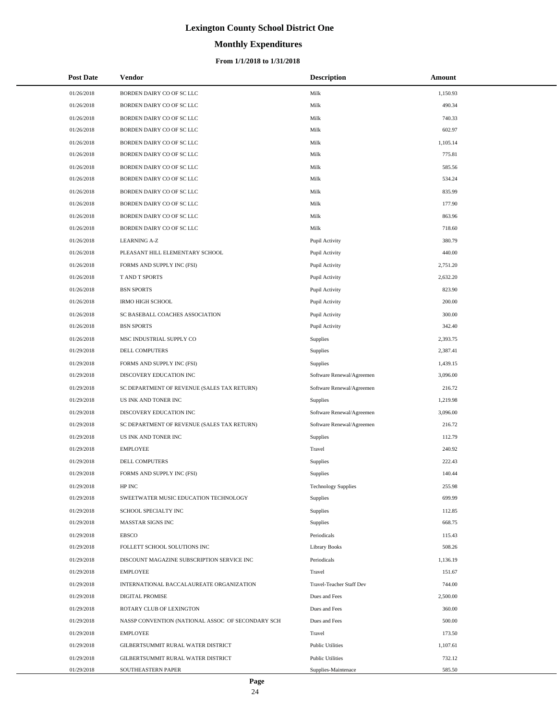# **Monthly Expenditures**

#### **From 1/1/2018 to 1/31/2018**

| <b>Post Date</b> | Vendor                                            | <b>Description</b>         | <b>Amount</b> |
|------------------|---------------------------------------------------|----------------------------|---------------|
| 01/26/2018       | BORDEN DAIRY CO OF SC LLC                         | Milk                       | 1,150.93      |
| 01/26/2018       | BORDEN DAIRY CO OF SC LLC                         | Milk                       | 490.34        |
| 01/26/2018       | BORDEN DAIRY CO OF SC LLC                         | Milk                       | 740.33        |
| 01/26/2018       | BORDEN DAIRY CO OF SC LLC                         | Milk                       | 602.97        |
| 01/26/2018       | BORDEN DAIRY CO OF SC LLC                         | Milk                       | 1,105.14      |
| 01/26/2018       | BORDEN DAIRY CO OF SC LLC                         | Milk                       | 775.81        |
| 01/26/2018       | BORDEN DAIRY CO OF SC LLC                         | Milk                       | 585.56        |
| 01/26/2018       | BORDEN DAIRY CO OF SC LLC                         | Milk                       | 534.24        |
| 01/26/2018       | BORDEN DAIRY CO OF SC LLC                         | Milk                       | 835.99        |
| 01/26/2018       | BORDEN DAIRY CO OF SC LLC                         | Milk                       | 177.90        |
| 01/26/2018       | BORDEN DAIRY CO OF SC LLC                         | Milk                       | 863.96        |
| 01/26/2018       | BORDEN DAIRY CO OF SC LLC                         | Milk                       | 718.60        |
| 01/26/2018       | <b>LEARNING A-Z</b>                               | Pupil Activity             | 380.79        |
| 01/26/2018       | PLEASANT HILL ELEMENTARY SCHOOL                   | Pupil Activity             | 440.00        |
| 01/26/2018       | FORMS AND SUPPLY INC (FSI)                        | Pupil Activity             | 2,751.20      |
| 01/26/2018       | <b>T AND T SPORTS</b>                             | Pupil Activity             | 2,632.20      |
| 01/26/2018       | <b>BSN SPORTS</b>                                 | Pupil Activity             | 823.90        |
| 01/26/2018       | <b>IRMO HIGH SCHOOL</b>                           | Pupil Activity             | 200.00        |
| 01/26/2018       | SC BASEBALL COACHES ASSOCIATION                   | Pupil Activity             | 300.00        |
| 01/26/2018       | <b>BSN SPORTS</b>                                 | Pupil Activity             | 342.40        |
| 01/26/2018       | MSC INDUSTRIAL SUPPLY CO                          | <b>Supplies</b>            | 2,393.75      |
| 01/29/2018       | DELL COMPUTERS                                    | <b>Supplies</b>            | 2,387.41      |
| 01/29/2018       | FORMS AND SUPPLY INC (FSI)                        | <b>Supplies</b>            | 1,439.15      |
| 01/29/2018       | DISCOVERY EDUCATION INC                           | Software Renewal/Agreemen  | 3,096.00      |
| 01/29/2018       | SC DEPARTMENT OF REVENUE (SALES TAX RETURN)       | Software Renewal/Agreemen  | 216.72        |
| 01/29/2018       | US INK AND TONER INC                              | Supplies                   | 1,219.98      |
| 01/29/2018       | DISCOVERY EDUCATION INC                           | Software Renewal/Agreemen  | 3,096.00      |
| 01/29/2018       | SC DEPARTMENT OF REVENUE (SALES TAX RETURN)       | Software Renewal/Agreemen  | 216.72        |
| 01/29/2018       | US INK AND TONER INC                              | <b>Supplies</b>            | 112.79        |
| 01/29/2018       | <b>EMPLOYEE</b>                                   | Travel                     | 240.92        |
| 01/29/2018       | DELL COMPUTERS                                    | Supplies                   | 222.43        |
| 01/29/2018       | FORMS AND SUPPLY INC (FSI)                        | Supplies                   | 140.44        |
| 01/29/2018       | HP INC                                            | <b>Technology Supplies</b> | 255.98        |
| 01/29/2018       | SWEETWATER MUSIC EDUCATION TECHNOLOGY             | <b>Supplies</b>            | 699.99        |
| 01/29/2018       | SCHOOL SPECIALTY INC                              | <b>Supplies</b>            | 112.85        |
| 01/29/2018       | MASSTAR SIGNS INC                                 | <b>Supplies</b>            | 668.75        |
| 01/29/2018       | <b>EBSCO</b>                                      | Periodicals                | 115.43        |
| 01/29/2018       | FOLLETT SCHOOL SOLUTIONS INC                      | <b>Library Books</b>       | 508.26        |
| 01/29/2018       | DISCOUNT MAGAZINE SUBSCRIPTION SERVICE INC        | Periodicals                | 1,136.19      |
| 01/29/2018       | <b>EMPLOYEE</b>                                   | Travel                     | 151.67        |
| 01/29/2018       | INTERNATIONAL BACCALAUREATE ORGANIZATION          | Travel-Teacher Staff Dev   | 744.00        |
| 01/29/2018       | DIGITAL PROMISE                                   | Dues and Fees              | 2,500.00      |
| 01/29/2018       | ROTARY CLUB OF LEXINGTON                          | Dues and Fees              | 360.00        |
| 01/29/2018       | NASSP CONVENTION (NATIONAL ASSOC OF SECONDARY SCH | Dues and Fees              | 500.00        |
| 01/29/2018       | <b>EMPLOYEE</b>                                   | Travel                     | 173.50        |
| 01/29/2018       | GILBERTSUMMIT RURAL WATER DISTRICT                | <b>Public Utilities</b>    | 1,107.61      |
| 01/29/2018       | GILBERTSUMMIT RURAL WATER DISTRICT                | <b>Public Utilities</b>    | 732.12        |
| 01/29/2018       | SOUTHEASTERN PAPER                                | Supplies-Maintenace        | 585.50        |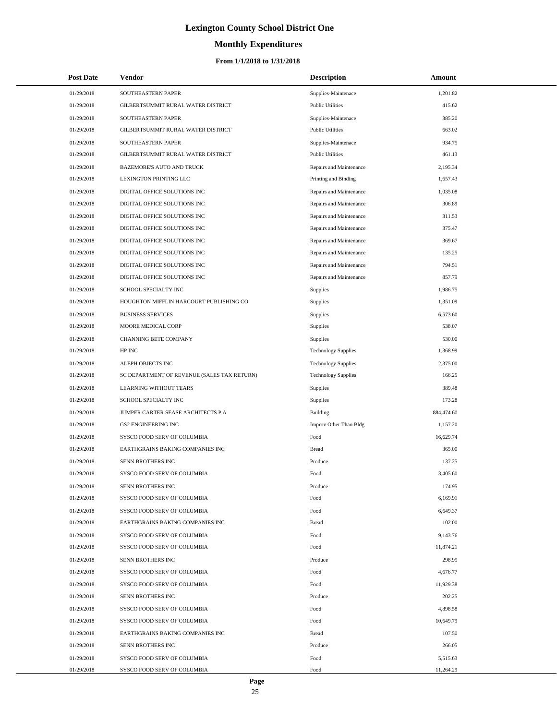# **Monthly Expenditures**

#### **From 1/1/2018 to 1/31/2018**

| <b>Post Date</b> | Vendor                                      | <b>Description</b>         | Amount     |
|------------------|---------------------------------------------|----------------------------|------------|
| 01/29/2018       | SOUTHEASTERN PAPER                          | Supplies-Maintenace        | 1,201.82   |
| 01/29/2018       | GILBERTSUMMIT RURAL WATER DISTRICT          | <b>Public Utilities</b>    | 415.62     |
| 01/29/2018       | SOUTHEASTERN PAPER                          | Supplies-Maintenace        | 385.20     |
| 01/29/2018       | GILBERTSUMMIT RURAL WATER DISTRICT          | <b>Public Utilities</b>    | 663.02     |
| 01/29/2018       | SOUTHEASTERN PAPER                          | Supplies-Maintenace        | 934.75     |
| 01/29/2018       | GILBERTSUMMIT RURAL WATER DISTRICT          | <b>Public Utilities</b>    | 461.13     |
| 01/29/2018       | BAZEMORE'S AUTO AND TRUCK                   | Repairs and Maintenance    | 2,195.34   |
| 01/29/2018       | LEXINGTON PRINTING LLC                      | Printing and Binding       | 1,657.43   |
| 01/29/2018       | DIGITAL OFFICE SOLUTIONS INC                | Repairs and Maintenance    | 1,035.08   |
| 01/29/2018       | DIGITAL OFFICE SOLUTIONS INC                | Repairs and Maintenance    | 306.89     |
| 01/29/2018       | DIGITAL OFFICE SOLUTIONS INC                | Repairs and Maintenance    | 311.53     |
| 01/29/2018       | DIGITAL OFFICE SOLUTIONS INC                | Repairs and Maintenance    | 375.47     |
| 01/29/2018       | DIGITAL OFFICE SOLUTIONS INC                | Repairs and Maintenance    | 369.67     |
| 01/29/2018       | DIGITAL OFFICE SOLUTIONS INC                | Repairs and Maintenance    | 135.25     |
| 01/29/2018       | DIGITAL OFFICE SOLUTIONS INC                | Repairs and Maintenance    | 794.51     |
| 01/29/2018       | DIGITAL OFFICE SOLUTIONS INC                | Repairs and Maintenance    | 857.79     |
| 01/29/2018       | SCHOOL SPECIALTY INC                        | <b>Supplies</b>            | 1,986.75   |
| 01/29/2018       | HOUGHTON MIFFLIN HARCOURT PUBLISHING CO     | Supplies                   | 1,351.09   |
| 01/29/2018       | <b>BUSINESS SERVICES</b>                    | Supplies                   | 6,573.60   |
| 01/29/2018       | MOORE MEDICAL CORP                          | Supplies                   | 538.07     |
| 01/29/2018       | CHANNING BETE COMPANY                       | Supplies                   | 530.00     |
| 01/29/2018       | HP INC                                      | <b>Technology Supplies</b> | 1,368.99   |
| 01/29/2018       | ALEPH OBJECTS INC                           | <b>Technology Supplies</b> | 2,375.00   |
| 01/29/2018       | SC DEPARTMENT OF REVENUE (SALES TAX RETURN) | <b>Technology Supplies</b> | 166.25     |
| 01/29/2018       | LEARNING WITHOUT TEARS                      | Supplies                   | 389.48     |
| 01/29/2018       | SCHOOL SPECIALTY INC                        | Supplies                   | 173.28     |
| 01/29/2018       | JUMPER CARTER SEASE ARCHITECTS P A          | Building                   | 884,474.60 |
| 01/29/2018       | <b>GS2 ENGINEERING INC</b>                  | Improv Other Than Bldg     | 1,157.20   |
| 01/29/2018       | SYSCO FOOD SERV OF COLUMBIA                 | Food                       | 16,629.74  |
| 01/29/2018       | EARTHGRAINS BAKING COMPANIES INC            | <b>Bread</b>               | 365.00     |
| 01/29/2018       | SENN BROTHERS INC                           | Produce                    | 137.25     |
| 01/29/2018       | SYSCO FOOD SERV OF COLUMBIA                 | Food                       | 3.405.60   |
| 01/29/2018       | SENN BROTHERS INC                           | Produce                    | 174.95     |
| 01/29/2018       | SYSCO FOOD SERV OF COLUMBIA                 | Food                       | 6,169.91   |
| 01/29/2018       | SYSCO FOOD SERV OF COLUMBIA                 | Food                       | 6,649.37   |
| 01/29/2018       | EARTHGRAINS BAKING COMPANIES INC            | <b>Bread</b>               | 102.00     |
| 01/29/2018       | SYSCO FOOD SERV OF COLUMBIA                 | Food                       | 9,143.76   |
| 01/29/2018       | SYSCO FOOD SERV OF COLUMBIA                 | Food                       | 11,874.21  |
| 01/29/2018       | SENN BROTHERS INC                           | Produce                    | 298.95     |
| 01/29/2018       | SYSCO FOOD SERV OF COLUMBIA                 | Food                       | 4,676.77   |
| 01/29/2018       | SYSCO FOOD SERV OF COLUMBIA                 | Food                       | 11,929.38  |
| 01/29/2018       | SENN BROTHERS INC                           | Produce                    | 202.25     |
| 01/29/2018       | SYSCO FOOD SERV OF COLUMBIA                 | Food                       | 4,898.58   |
| 01/29/2018       | SYSCO FOOD SERV OF COLUMBIA                 | Food                       | 10,649.79  |
| 01/29/2018       | EARTHGRAINS BAKING COMPANIES INC            | <b>Bread</b>               | 107.50     |
| 01/29/2018       | SENN BROTHERS INC                           | Produce                    | 266.05     |
| 01/29/2018       | SYSCO FOOD SERV OF COLUMBIA                 | Food                       | 5,515.63   |
| 01/29/2018       | SYSCO FOOD SERV OF COLUMBIA                 | Food                       | 11,264.29  |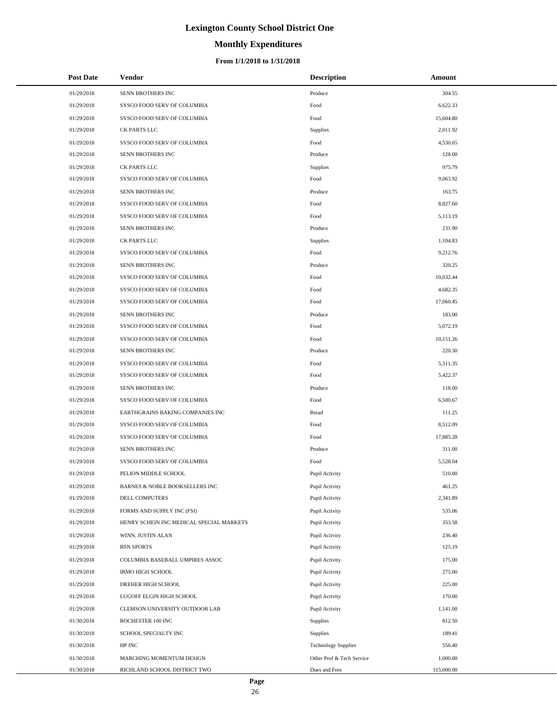# **Monthly Expenditures**

| <b>Post Date</b> | <b>Vendor</b>                            | <b>Description</b>         | Amount     |
|------------------|------------------------------------------|----------------------------|------------|
| 01/29/2018       | SENN BROTHERS INC                        | Produce                    | 304.55     |
| 01/29/2018       | SYSCO FOOD SERV OF COLUMBIA              | Food                       | 6,622.33   |
| 01/29/2018       | SYSCO FOOD SERV OF COLUMBIA              | $\operatorname*{Food}$     | 15,604.80  |
| 01/29/2018       | CK PARTS LLC                             | Supplies                   | 2,011.92   |
| 01/29/2018       | SYSCO FOOD SERV OF COLUMBIA              | Food                       | 4,530.65   |
| 01/29/2018       | SENN BROTHERS INC                        | Produce                    | 128.00     |
| 01/29/2018       | CK PARTS LLC                             | <b>Supplies</b>            | 975.79     |
| 01/29/2018       | SYSCO FOOD SERV OF COLUMBIA              | Food                       | 9,063.92   |
| 01/29/2018       | SENN BROTHERS INC                        | Produce                    | 163.75     |
| 01/29/2018       | SYSCO FOOD SERV OF COLUMBIA              | Food                       | 8,827.60   |
| 01/29/2018       | SYSCO FOOD SERV OF COLUMBIA              | Food                       | 5,113.19   |
| 01/29/2018       | SENN BROTHERS INC                        | Produce                    | 231.90     |
| 01/29/2018       | CK PARTS LLC                             | Supplies                   | 1,104.83   |
| 01/29/2018       | SYSCO FOOD SERV OF COLUMBIA              | Food                       | 9,212.76   |
| 01/29/2018       | SENN BROTHERS INC                        | Produce                    | 320.25     |
| 01/29/2018       | SYSCO FOOD SERV OF COLUMBIA              | Food                       | 10,032.44  |
| 01/29/2018       | SYSCO FOOD SERV OF COLUMBIA              | Food                       | 4,682.35   |
| 01/29/2018       | SYSCO FOOD SERV OF COLUMBIA              | Food                       | 17,060.45  |
| 01/29/2018       | SENN BROTHERS INC                        | Produce                    | 183.00     |
| 01/29/2018       | SYSCO FOOD SERV OF COLUMBIA              | Food                       | 5,072.19   |
| 01/29/2018       | SYSCO FOOD SERV OF COLUMBIA              | Food                       | 10,151.26  |
| 01/29/2018       | SENN BROTHERS INC                        | Produce                    | 220.30     |
| 01/29/2018       | SYSCO FOOD SERV OF COLUMBIA              | Food                       | 5,311.35   |
| 01/29/2018       | SYSCO FOOD SERV OF COLUMBIA              | Food                       | 5,422.37   |
| 01/29/2018       | SENN BROTHERS INC                        | Produce                    | 118.00     |
| 01/29/2018       | SYSCO FOOD SERV OF COLUMBIA              | Food                       | 6,500.67   |
| 01/29/2018       | EARTHGRAINS BAKING COMPANIES INC         | <b>Bread</b>               | 111.25     |
| 01/29/2018       | SYSCO FOOD SERV OF COLUMBIA              | Food                       | 8,512.09   |
| 01/29/2018       | SYSCO FOOD SERV OF COLUMBIA              | Food                       | 17,885.28  |
| 01/29/2018       | SENN BROTHERS INC                        | Produce                    | 311.00     |
| 01/29/2018       | SYSCO FOOD SERV OF COLUMBIA              | Food                       | 5,528.04   |
| 01/29/2018       | PELION MIDDLE SCHOOL                     | Pupil Activity             | 510.00     |
| 01/29/2018       | BARNES & NOBLE BOOKSELLERS INC           | Pupil Activity             | 461.25     |
| 01/29/2018       | <b>DELL COMPUTERS</b>                    | Pupil Activity             | 2,341.89   |
| 01/29/2018       | FORMS AND SUPPLY INC (FSI)               | Pupil Activity             | 535.06     |
| 01/29/2018       | HENRY SCHEIN INC MEDICAL SPECIAL MARKETS | Pupil Activity             | 353.58     |
| 01/29/2018       | WINN, JUSTIN ALAN                        | Pupil Activity             | 236.40     |
| 01/29/2018       | <b>BSN SPORTS</b>                        | Pupil Activity             | 125.19     |
| 01/29/2018       | COLUMBIA BASEBALL UMPIRES ASSOC          | Pupil Activity             | 175.00     |
| 01/29/2018       | IRMO HIGH SCHOOL                         | Pupil Activity             | 275.00     |
| 01/29/2018       | DREHER HIGH SCHOOL                       | Pupil Activity             | 225.00     |
| 01/29/2018       | LUGOFF ELGIN HIGH SCHOOL                 | Pupil Activity             | 170.00     |
| 01/29/2018       | CLEMSON UNIVERSITY OUTDOOR LAB           | Pupil Activity             | 1,141.00   |
| 01/30/2018       | ROCHESTER 100 INC                        | <b>Supplies</b>            | 812.50     |
| 01/30/2018       | SCHOOL SPECIALTY INC                     | Supplies                   | 189.41     |
| 01/30/2018       | HP INC                                   | <b>Technology Supplies</b> | 556.40     |
| 01/30/2018       | MARCHING MOMENTUM DESIGN                 | Other Prof & Tech Service  | 1,000.00   |
| 01/30/2018       | RICHLAND SCHOOL DISTRICT TWO             | Dues and Fees              | 115,000.00 |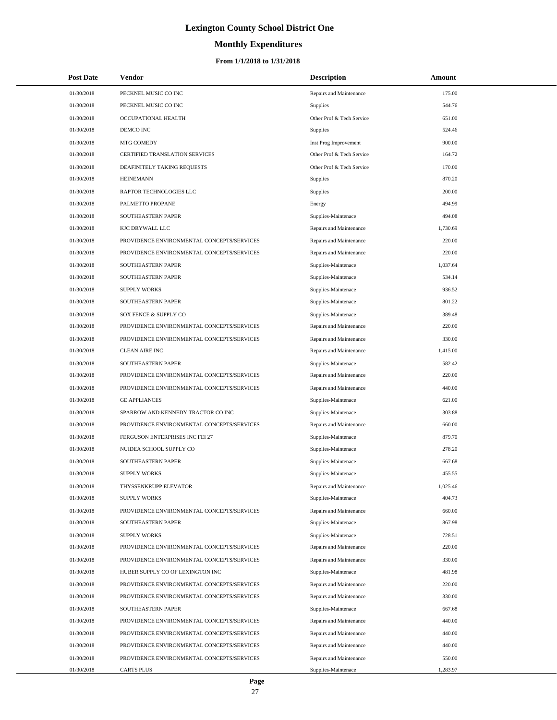# **Monthly Expenditures**

| <b>Post Date</b> | Vendor                                     | <b>Description</b>        | Amount   |
|------------------|--------------------------------------------|---------------------------|----------|
| 01/30/2018       | PECKNEL MUSIC CO INC                       | Repairs and Maintenance   | 175.00   |
| 01/30/2018       | PECKNEL MUSIC CO INC                       | <b>Supplies</b>           | 544.76   |
| 01/30/2018       | OCCUPATIONAL HEALTH                        | Other Prof & Tech Service | 651.00   |
| 01/30/2018       | DEMCO INC                                  | Supplies                  | 524.46   |
| 01/30/2018       | MTG COMEDY                                 | Inst Prog Improvement     | 900.00   |
| 01/30/2018       | CERTIFIED TRANSLATION SERVICES             | Other Prof & Tech Service | 164.72   |
| 01/30/2018       | DEAFINITELY TAKING REQUESTS                | Other Prof & Tech Service | 170.00   |
| 01/30/2018       | <b>HEINEMANN</b>                           | Supplies                  | 870.20   |
| 01/30/2018       | <b>RAPTOR TECHNOLOGIES LLC</b>             | Supplies                  | 200.00   |
| 01/30/2018       | PALMETTO PROPANE                           | Energy                    | 494.99   |
| 01/30/2018       | SOUTHEASTERN PAPER                         | Supplies-Maintenace       | 494.08   |
| 01/30/2018       | KJC DRYWALL LLC                            | Repairs and Maintenance   | 1,730.69 |
| 01/30/2018       | PROVIDENCE ENVIRONMENTAL CONCEPTS/SERVICES | Repairs and Maintenance   | 220.00   |
| 01/30/2018       | PROVIDENCE ENVIRONMENTAL CONCEPTS/SERVICES | Repairs and Maintenance   | 220.00   |
| 01/30/2018       | SOUTHEASTERN PAPER                         | Supplies-Maintenace       | 1,037.64 |
| 01/30/2018       | SOUTHEASTERN PAPER                         | Supplies-Maintenace       | 534.14   |
| 01/30/2018       | <b>SUPPLY WORKS</b>                        | Supplies-Maintenace       | 936.52   |
| 01/30/2018       | SOUTHEASTERN PAPER                         | Supplies-Maintenace       | 801.22   |
| 01/30/2018       | SOX FENCE & SUPPLY CO                      | Supplies-Maintenace       | 389.48   |
| 01/30/2018       | PROVIDENCE ENVIRONMENTAL CONCEPTS/SERVICES | Repairs and Maintenance   | 220.00   |
| 01/30/2018       | PROVIDENCE ENVIRONMENTAL CONCEPTS/SERVICES | Repairs and Maintenance   | 330.00   |
| 01/30/2018       | <b>CLEAN AIRE INC</b>                      | Repairs and Maintenance   | 1,415.00 |
| 01/30/2018       | SOUTHEASTERN PAPER                         | Supplies-Maintenace       | 582.42   |
| 01/30/2018       | PROVIDENCE ENVIRONMENTAL CONCEPTS/SERVICES | Repairs and Maintenance   | 220.00   |
| 01/30/2018       | PROVIDENCE ENVIRONMENTAL CONCEPTS/SERVICES | Repairs and Maintenance   | 440.00   |
| 01/30/2018       | <b>GE APPLIANCES</b>                       | Supplies-Maintenace       | 621.00   |
| 01/30/2018       | SPARROW AND KENNEDY TRACTOR CO INC         | Supplies-Maintenace       | 303.88   |
| 01/30/2018       | PROVIDENCE ENVIRONMENTAL CONCEPTS/SERVICES | Repairs and Maintenance   | 660.00   |
| 01/30/2018       | FERGUSON ENTERPRISES INC FEI 27            | Supplies-Maintenace       | 879.70   |
| 01/30/2018       | NUIDEA SCHOOL SUPPLY CO                    | Supplies-Maintenace       | 278.20   |
| 01/30/2018       | <b>SOUTHEASTERN PAPER</b>                  | Supplies-Maintenace       | 667.68   |
| 01/30/2018       | <b>SUPPLY WORKS</b>                        | Supplies-Maintenace       | 455.55   |
| 01/30/2018       | THYSSENKRUPP ELEVATOR                      | Repairs and Maintenance   | 1,025.46 |
| 01/30/2018       | <b>SUPPLY WORKS</b>                        | Supplies-Maintenace       | 404.73   |
| 01/30/2018       | PROVIDENCE ENVIRONMENTAL CONCEPTS/SERVICES | Repairs and Maintenance   | 660.00   |
| 01/30/2018       | SOUTHEASTERN PAPER                         | Supplies-Maintenace       | 867.98   |
| 01/30/2018       | <b>SUPPLY WORKS</b>                        | Supplies-Maintenace       | 728.51   |
| 01/30/2018       | PROVIDENCE ENVIRONMENTAL CONCEPTS/SERVICES | Repairs and Maintenance   | 220.00   |
| 01/30/2018       | PROVIDENCE ENVIRONMENTAL CONCEPTS/SERVICES | Repairs and Maintenance   | 330.00   |
| 01/30/2018       | HUBER SUPPLY CO OF LEXINGTON INC           | Supplies-Maintenace       | 481.98   |
| 01/30/2018       | PROVIDENCE ENVIRONMENTAL CONCEPTS/SERVICES | Repairs and Maintenance   | 220.00   |
| 01/30/2018       | PROVIDENCE ENVIRONMENTAL CONCEPTS/SERVICES | Repairs and Maintenance   | 330.00   |
| 01/30/2018       | SOUTHEASTERN PAPER                         | Supplies-Maintenace       | 667.68   |
| 01/30/2018       | PROVIDENCE ENVIRONMENTAL CONCEPTS/SERVICES | Repairs and Maintenance   | 440.00   |
| 01/30/2018       | PROVIDENCE ENVIRONMENTAL CONCEPTS/SERVICES | Repairs and Maintenance   | 440.00   |
| 01/30/2018       | PROVIDENCE ENVIRONMENTAL CONCEPTS/SERVICES | Repairs and Maintenance   | 440.00   |
| 01/30/2018       | PROVIDENCE ENVIRONMENTAL CONCEPTS/SERVICES | Repairs and Maintenance   | 550.00   |
| 01/30/2018       | <b>CARTS PLUS</b>                          | Supplies-Maintenace       | 1,283.97 |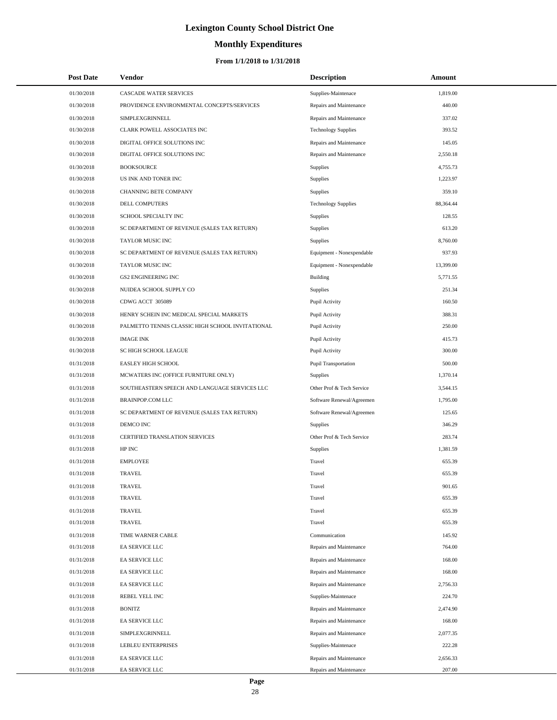# **Monthly Expenditures**

| <b>Post Date</b> | <b>Vendor</b>                                    | <b>Description</b>         | Amount    |
|------------------|--------------------------------------------------|----------------------------|-----------|
| 01/30/2018       | CASCADE WATER SERVICES                           | Supplies-Maintenace        | 1,819.00  |
| 01/30/2018       | PROVIDENCE ENVIRONMENTAL CONCEPTS/SERVICES       | Repairs and Maintenance    | 440.00    |
| 01/30/2018       | SIMPLEXGRINNELL                                  | Repairs and Maintenance    | 337.02    |
| 01/30/2018       | CLARK POWELL ASSOCIATES INC                      | <b>Technology Supplies</b> | 393.52    |
| 01/30/2018       | DIGITAL OFFICE SOLUTIONS INC                     | Repairs and Maintenance    | 145.05    |
| 01/30/2018       | DIGITAL OFFICE SOLUTIONS INC                     | Repairs and Maintenance    | 2,550.18  |
| 01/30/2018       | <b>BOOKSOURCE</b>                                | Supplies                   | 4,755.73  |
| 01/30/2018       | US INK AND TONER INC                             | Supplies                   | 1,223.97  |
| 01/30/2018       | CHANNING BETE COMPANY                            | Supplies                   | 359.10    |
| 01/30/2018       | DELL COMPUTERS                                   | <b>Technology Supplies</b> | 88,364.44 |
| 01/30/2018       | SCHOOL SPECIALTY INC                             | Supplies                   | 128.55    |
| 01/30/2018       | SC DEPARTMENT OF REVENUE (SALES TAX RETURN)      | Supplies                   | 613.20    |
| 01/30/2018       | TAYLOR MUSIC INC                                 | Supplies                   | 8,760.00  |
| 01/30/2018       | SC DEPARTMENT OF REVENUE (SALES TAX RETURN)      | Equipment - Nonexpendable  | 937.93    |
| 01/30/2018       | TAYLOR MUSIC INC                                 | Equipment - Nonexpendable  | 13,399.00 |
| 01/30/2018       | <b>GS2 ENGINEERING INC</b>                       | <b>Building</b>            | 5,771.55  |
| 01/30/2018       | NUIDEA SCHOOL SUPPLY CO                          | Supplies                   | 251.34    |
| 01/30/2018       | CDWG ACCT 305089                                 | Pupil Activity             | 160.50    |
| 01/30/2018       | HENRY SCHEIN INC MEDICAL SPECIAL MARKETS         | Pupil Activity             | 388.31    |
| 01/30/2018       | PALMETTO TENNIS CLASSIC HIGH SCHOOL INVITATIONAL | Pupil Activity             | 250.00    |
| 01/30/2018       | <b>IMAGE INK</b>                                 | Pupil Activity             | 415.73    |
| 01/30/2018       | SC HIGH SCHOOL LEAGUE                            | Pupil Activity             | 300.00    |
| 01/31/2018       | <b>EASLEY HIGH SCHOOL</b>                        | Pupil Transportation       | 500.00    |
| 01/31/2018       | MCWATERS INC (OFFICE FURNITURE ONLY)             | Supplies                   | 1,370.14  |
| 01/31/2018       | SOUTHEASTERN SPEECH AND LANGUAGE SERVICES LLC    | Other Prof & Tech Service  | 3,544.15  |
| 01/31/2018       | <b>BRAINPOP.COM LLC</b>                          | Software Renewal/Agreemen  | 1,795.00  |
| 01/31/2018       | SC DEPARTMENT OF REVENUE (SALES TAX RETURN)      | Software Renewal/Agreemen  | 125.65    |
| 01/31/2018       | DEMCO INC                                        | Supplies                   | 346.29    |
| 01/31/2018       | CERTIFIED TRANSLATION SERVICES                   | Other Prof & Tech Service  | 283.74    |
| 01/31/2018       | HP INC                                           | Supplies                   | 1,381.59  |
| 01/31/2018       | <b>EMPLOYEE</b>                                  | Travel                     | 655.39    |
| 01/31/2018       | <b>TRAVEL</b>                                    | Travel                     | 655.39    |
| 01/31/2018       | TRAVEL                                           | Travel                     | 901.65    |
| 01/31/2018       | <b>TRAVEL</b>                                    | Travel                     | 655.39    |
| 01/31/2018       | <b>TRAVEL</b>                                    | Travel                     | 655.39    |
| 01/31/2018       | TRAVEL                                           | Travel                     | 655.39    |
| 01/31/2018       | TIME WARNER CABLE                                | Communication              | 145.92    |
| 01/31/2018       | EA SERVICE LLC                                   | Repairs and Maintenance    | 764.00    |
| 01/31/2018       | EA SERVICE LLC                                   | Repairs and Maintenance    | 168.00    |
| 01/31/2018       | EA SERVICE LLC                                   | Repairs and Maintenance    | 168.00    |
| 01/31/2018       | EA SERVICE LLC                                   | Repairs and Maintenance    | 2,756.33  |
| 01/31/2018       | REBEL YELL INC                                   | Supplies-Maintenace        | 224.70    |
| 01/31/2018       | <b>BONITZ</b>                                    | Repairs and Maintenance    | 2,474.90  |
| 01/31/2018       | EA SERVICE LLC                                   | Repairs and Maintenance    | 168.00    |
| 01/31/2018       | SIMPLEXGRINNELL                                  | Repairs and Maintenance    | 2,077.35  |
| 01/31/2018       | LEBLEU ENTERPRISES                               | Supplies-Maintenace        | 222.28    |
| 01/31/2018       | EA SERVICE LLC                                   | Repairs and Maintenance    | 2,656.33  |
| 01/31/2018       | EA SERVICE LLC                                   | Repairs and Maintenance    | 207.00    |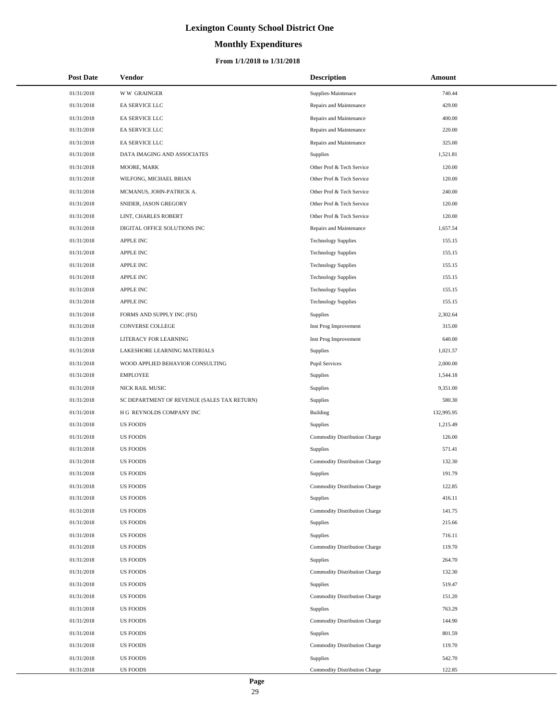# **Monthly Expenditures**

#### **From 1/1/2018 to 1/31/2018**

| <b>Post Date</b> | <b>Vendor</b>                               | <b>Description</b>            | Amount     |
|------------------|---------------------------------------------|-------------------------------|------------|
| 01/31/2018       | <b>WW GRAINGER</b>                          | Supplies-Maintenace           | 740.44     |
| 01/31/2018       | EA SERVICE LLC                              | Repairs and Maintenance       | 429.00     |
| 01/31/2018       | EA SERVICE LLC                              | Repairs and Maintenance       | 400.00     |
| 01/31/2018       | EA SERVICE LLC                              | Repairs and Maintenance       | 220.00     |
| 01/31/2018       | EA SERVICE LLC                              | Repairs and Maintenance       | 325.00     |
| 01/31/2018       | DATA IMAGING AND ASSOCIATES                 | Supplies                      | 1,521.81   |
| 01/31/2018       | MOORE, MARK                                 | Other Prof & Tech Service     | 120.00     |
| 01/31/2018       | WILFONG, MICHAEL BRIAN                      | Other Prof & Tech Service     | 120.00     |
| 01/31/2018       | MCMANUS, JOHN-PATRICK A.                    | Other Prof & Tech Service     | 240.00     |
| 01/31/2018       | SNIDER, JASON GREGORY                       | Other Prof & Tech Service     | 120.00     |
| 01/31/2018       | LINT, CHARLES ROBERT                        | Other Prof & Tech Service     | 120.00     |
| 01/31/2018       | DIGITAL OFFICE SOLUTIONS INC                | Repairs and Maintenance       | 1,657.54   |
| 01/31/2018       | <b>APPLE INC</b>                            | <b>Technology Supplies</b>    | 155.15     |
| 01/31/2018       | <b>APPLE INC</b>                            | <b>Technology Supplies</b>    | 155.15     |
| 01/31/2018       | <b>APPLE INC</b>                            | <b>Technology Supplies</b>    | 155.15     |
| 01/31/2018       | <b>APPLE INC</b>                            | <b>Technology Supplies</b>    | 155.15     |
| 01/31/2018       | <b>APPLE INC</b>                            | <b>Technology Supplies</b>    | 155.15     |
| 01/31/2018       | <b>APPLE INC</b>                            | <b>Technology Supplies</b>    | 155.15     |
| 01/31/2018       | FORMS AND SUPPLY INC (FSI)                  | Supplies                      | 2,302.64   |
| 01/31/2018       | CONVERSE COLLEGE                            | Inst Prog Improvement         | 315.00     |
| 01/31/2018       | LITERACY FOR LEARNING                       | Inst Prog Improvement         | 640.00     |
| 01/31/2018       | LAKESHORE LEARNING MATERIALS                | Supplies                      | 1,021.57   |
| 01/31/2018       | WOOD APPLIED BEHAVIOR CONSULTING            | <b>Pupil Services</b>         | 2,000.00   |
| 01/31/2018       | <b>EMPLOYEE</b>                             | <b>Supplies</b>               | 1,544.18   |
| 01/31/2018       | NICK RAIL MUSIC                             | Supplies                      | 9,351.00   |
| 01/31/2018       | SC DEPARTMENT OF REVENUE (SALES TAX RETURN) | <b>Supplies</b>               | 580.30     |
| 01/31/2018       | H G REYNOLDS COMPANY INC                    | <b>Building</b>               | 132,995.95 |
| 01/31/2018       | <b>US FOODS</b>                             | <b>Supplies</b>               | 1.215.49   |
| 01/31/2018       | <b>US FOODS</b>                             | Commodity Distribution Charge | 126.00     |
| 01/31/2018       | <b>US FOODS</b>                             | Supplies                      | 571.41     |
| 01/31/2018       | <b>US FOODS</b>                             | Commodity Distribution Charge | 132.30     |
| 01/31/2018       | US FOODS                                    | Supplies                      | 191.79     |
| 01/31/2018       | <b>US FOODS</b>                             | Commodity Distribution Charge | 122.85     |
| 01/31/2018       | <b>US FOODS</b>                             | <b>Supplies</b>               | 416.11     |
| 01/31/2018       | <b>US FOODS</b>                             | Commodity Distribution Charge | 141.75     |
| 01/31/2018       | <b>US FOODS</b>                             | <b>Supplies</b>               | 215.66     |
| 01/31/2018       | <b>US FOODS</b>                             | <b>Supplies</b>               | 716.11     |
| 01/31/2018       | <b>US FOODS</b>                             | Commodity Distribution Charge | 119.70     |
| 01/31/2018       | <b>US FOODS</b>                             | <b>Supplies</b>               | 264.70     |
| 01/31/2018       | <b>US FOODS</b>                             | Commodity Distribution Charge | 132.30     |
| 01/31/2018       | <b>US FOODS</b>                             | <b>Supplies</b>               | 519.47     |
| 01/31/2018       | <b>US FOODS</b>                             | Commodity Distribution Charge | 151.20     |
| 01/31/2018       | <b>US FOODS</b>                             | <b>Supplies</b>               | 763.29     |
| 01/31/2018       | <b>US FOODS</b>                             | Commodity Distribution Charge | 144.90     |
| 01/31/2018       | <b>US FOODS</b>                             | <b>Supplies</b>               | 801.59     |
| 01/31/2018       | <b>US FOODS</b>                             | Commodity Distribution Charge | 119.70     |
| 01/31/2018       | <b>US FOODS</b>                             | <b>Supplies</b>               | 542.70     |
| 01/31/2018       | <b>US FOODS</b>                             | Commodity Distribution Charge | 122.85     |